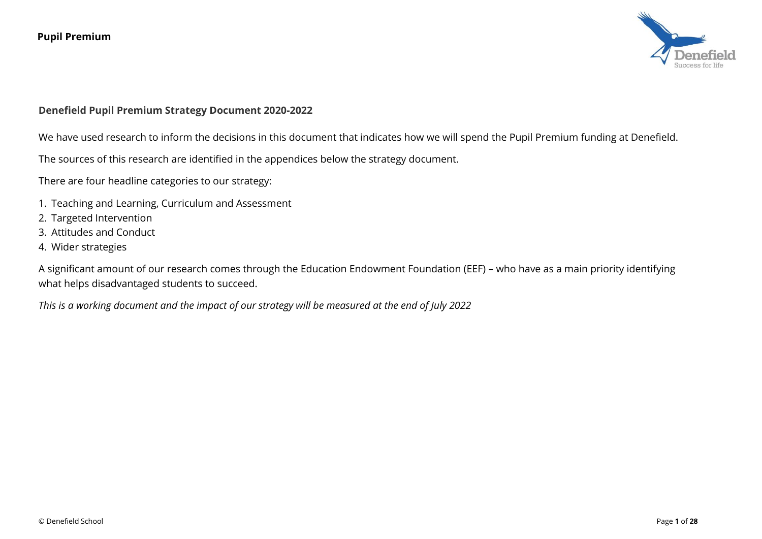

## **Denefield Pupil Premium Strategy Document 2020-2022**

We have used research to inform the decisions in this document that indicates how we will spend the Pupil Premium funding at Denefield.

The sources of this research are identified in the appendices below the strategy document.

There are four headline categories to our strategy:

- 1. Teaching and Learning, Curriculum and Assessment
- 2. Targeted Intervention
- 3. Attitudes and Conduct
- 4. Wider strategies

A significant amount of our research comes through the Education Endowment Foundation (EEF) – who have as a main priority identifying what helps disadvantaged students to succeed.

*This is a working document and the impact of our strategy will be measured at the end of July 2022*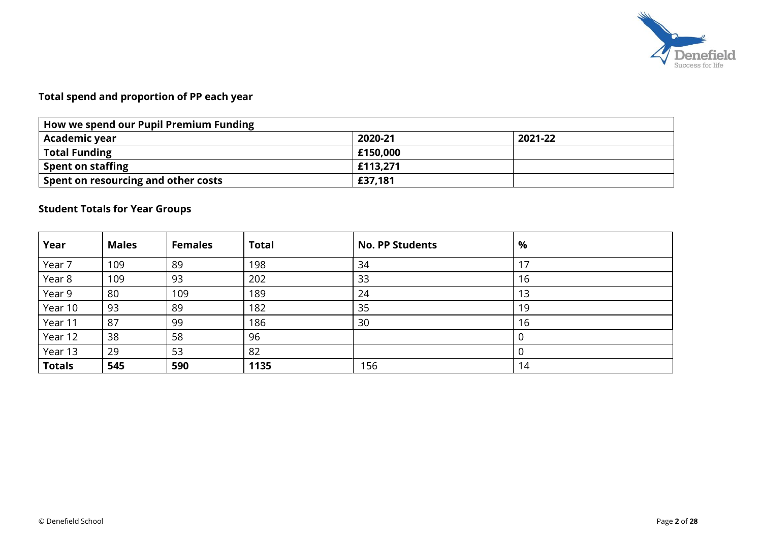

# **Total spend and proportion of PP each year**

| How we spend our Pupil Premium Funding |          |         |  |  |  |  |  |
|----------------------------------------|----------|---------|--|--|--|--|--|
| Academic year                          | 2020-21  | 2021-22 |  |  |  |  |  |
| <b>Total Funding</b>                   | £150,000 |         |  |  |  |  |  |
| <b>Spent on staffing</b>               | £113,271 |         |  |  |  |  |  |
| Spent on resourcing and other costs    | £37,181  |         |  |  |  |  |  |

## **Student Totals for Year Groups**

| Year          | <b>Males</b> | <b>Females</b> | <b>Total</b> | <b>No. PP Students</b> | %  |
|---------------|--------------|----------------|--------------|------------------------|----|
| Year 7        | 109          | 89             | 198          | 34                     |    |
| Year 8        | 109          | 93             | 202          | 33                     | 16 |
| Year 9        | 80           | 109            | 189          | 24                     | 13 |
| Year 10       | 93           | 89             | 182          | 35                     | 19 |
| Year 11       | 87           | 99             | 186          | 30                     | 16 |
| Year 12       | 38           | 58             | 96           |                        |    |
| Year 13       | 29           | 53             | 82           |                        |    |
| <b>Totals</b> | 545          | 590            | 1135         | 156                    | 14 |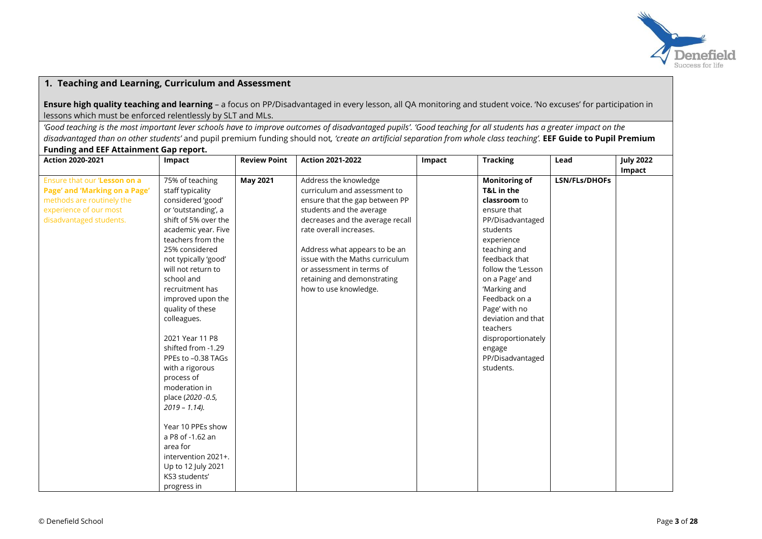

## **1. Teaching and Learning, Curriculum and Assessment**

**Ensure high quality teaching and learning** – a focus on PP/Disadvantaged in every lesson, all QA monitoring and student voice. 'No excuses' for participation in lessons which must be enforced relentlessly by SLT and MLs.

*'Good teaching is the most important lever schools have to improve outcomes of disadvantaged pupils'. 'Good teaching for all students has a greater impact on the disadvantaged than on other students'* and pupil premium funding should not*, 'create an artificial separation from whole class teaching'.* **EEF Guide to Pupil Premium** 

#### **Funding and EEF Attainment Gap report.**

| <b>Action 2020-2021</b>       | Impact               | <b>Review Point</b> | <b>Action 2021-2022</b>          | Impact | <b>Tracking</b>      | Lead                 | <b>July 2022</b> |
|-------------------------------|----------------------|---------------------|----------------------------------|--------|----------------------|----------------------|------------------|
|                               |                      |                     |                                  |        |                      |                      | Impact           |
| Ensure that our 'Lesson on a  | 75% of teaching      | <b>May 2021</b>     | Address the knowledge            |        | <b>Monitoring of</b> | <b>LSN/FLs/DHOFs</b> |                  |
| Page' and 'Marking on a Page' | staff typicality     |                     | curriculum and assessment to     |        | T&L in the           |                      |                  |
| methods are routinely the     | considered 'good'    |                     | ensure that the gap between PP   |        | classroom to         |                      |                  |
| experience of our most        | or 'outstanding', a  |                     | students and the average         |        | ensure that          |                      |                  |
| disadvantaged students.       | shift of 5% over the |                     | decreases and the average recall |        | PP/Disadvantaged     |                      |                  |
|                               | academic year. Five  |                     | rate overall increases.          |        | students             |                      |                  |
|                               | teachers from the    |                     |                                  |        | experience           |                      |                  |
|                               | 25% considered       |                     | Address what appears to be an    |        | teaching and         |                      |                  |
|                               | not typically 'good' |                     | issue with the Maths curriculum  |        | feedback that        |                      |                  |
|                               | will not return to   |                     | or assessment in terms of        |        | follow the 'Lesson   |                      |                  |
|                               | school and           |                     | retaining and demonstrating      |        | on a Page' and       |                      |                  |
|                               | recruitment has      |                     | how to use knowledge.            |        | 'Marking and         |                      |                  |
|                               | improved upon the    |                     |                                  |        | Feedback on a        |                      |                  |
|                               | quality of these     |                     |                                  |        | Page' with no        |                      |                  |
|                               | colleagues.          |                     |                                  |        | deviation and that   |                      |                  |
|                               |                      |                     |                                  |        | teachers             |                      |                  |
|                               | 2021 Year 11 P8      |                     |                                  |        | disproportionately   |                      |                  |
|                               | shifted from -1.29   |                     |                                  |        | engage               |                      |                  |
|                               | PPEs to -0.38 TAGs   |                     |                                  |        | PP/Disadvantaged     |                      |                  |
|                               | with a rigorous      |                     |                                  |        | students.            |                      |                  |
|                               | process of           |                     |                                  |        |                      |                      |                  |
|                               | moderation in        |                     |                                  |        |                      |                      |                  |
|                               | place (2020 - 0.5,   |                     |                                  |        |                      |                      |                  |
|                               | $2019 - 1.14$ ).     |                     |                                  |        |                      |                      |                  |
|                               |                      |                     |                                  |        |                      |                      |                  |
|                               | Year 10 PPEs show    |                     |                                  |        |                      |                      |                  |
|                               | a P8 of -1.62 an     |                     |                                  |        |                      |                      |                  |
|                               | area for             |                     |                                  |        |                      |                      |                  |
|                               | intervention 2021+.  |                     |                                  |        |                      |                      |                  |
|                               | Up to 12 July 2021   |                     |                                  |        |                      |                      |                  |
|                               | KS3 students'        |                     |                                  |        |                      |                      |                  |
|                               | progress in          |                     |                                  |        |                      |                      |                  |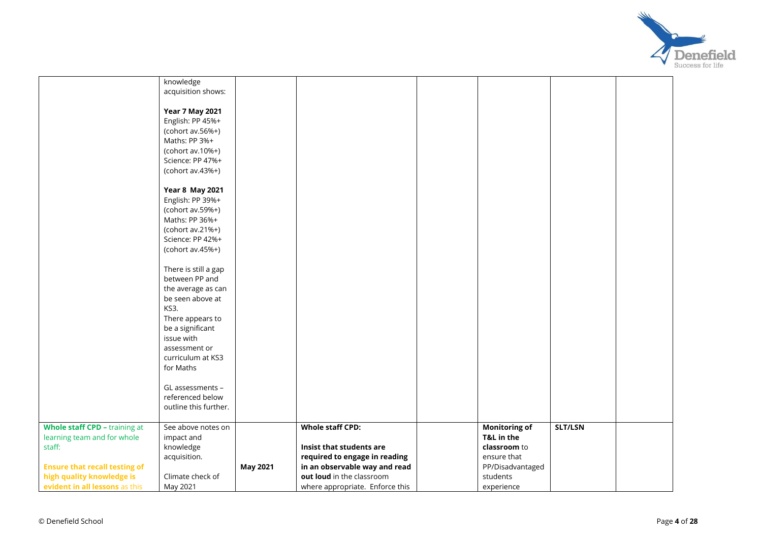

|                                      | knowledge              |                 |                                 |                      |         |  |
|--------------------------------------|------------------------|-----------------|---------------------------------|----------------------|---------|--|
|                                      | acquisition shows:     |                 |                                 |                      |         |  |
|                                      |                        |                 |                                 |                      |         |  |
|                                      | <b>Year 7 May 2021</b> |                 |                                 |                      |         |  |
|                                      | English: PP 45%+       |                 |                                 |                      |         |  |
|                                      | (cohort av.56%+)       |                 |                                 |                      |         |  |
|                                      | Maths: PP 3%+          |                 |                                 |                      |         |  |
|                                      | (cohort $av.10\%+$ )   |                 |                                 |                      |         |  |
|                                      | Science: PP 47%+       |                 |                                 |                      |         |  |
|                                      | (cohort $av.43\%+$ )   |                 |                                 |                      |         |  |
|                                      |                        |                 |                                 |                      |         |  |
|                                      | <b>Year 8 May 2021</b> |                 |                                 |                      |         |  |
|                                      | English: PP 39%+       |                 |                                 |                      |         |  |
|                                      | (cohort av.59%+)       |                 |                                 |                      |         |  |
|                                      | Maths: PP 36%+         |                 |                                 |                      |         |  |
|                                      | (cohort av.21%+)       |                 |                                 |                      |         |  |
|                                      | Science: PP 42%+       |                 |                                 |                      |         |  |
|                                      |                        |                 |                                 |                      |         |  |
|                                      | (cohort av.45%+)       |                 |                                 |                      |         |  |
|                                      | There is still a gap   |                 |                                 |                      |         |  |
|                                      | between PP and         |                 |                                 |                      |         |  |
|                                      | the average as can     |                 |                                 |                      |         |  |
|                                      | be seen above at       |                 |                                 |                      |         |  |
|                                      |                        |                 |                                 |                      |         |  |
|                                      | KS3.                   |                 |                                 |                      |         |  |
|                                      | There appears to       |                 |                                 |                      |         |  |
|                                      | be a significant       |                 |                                 |                      |         |  |
|                                      | issue with             |                 |                                 |                      |         |  |
|                                      | assessment or          |                 |                                 |                      |         |  |
|                                      | curriculum at KS3      |                 |                                 |                      |         |  |
|                                      | for Maths              |                 |                                 |                      |         |  |
|                                      |                        |                 |                                 |                      |         |  |
|                                      | GL assessments -       |                 |                                 |                      |         |  |
|                                      | referenced below       |                 |                                 |                      |         |  |
|                                      | outline this further.  |                 |                                 |                      |         |  |
| Whole staff CPD - training at        | See above notes on     |                 | <b>Whole staff CPD:</b>         | <b>Monitoring of</b> | SLT/LSN |  |
| learning team and for whole          | impact and             |                 |                                 | T&L in the           |         |  |
| staff:                               | knowledge              |                 | Insist that students are        | classroom to         |         |  |
|                                      | acquisition.           |                 | required to engage in reading   | ensure that          |         |  |
| <b>Ensure that recall testing of</b> |                        | <b>May 2021</b> | in an observable way and read   | PP/Disadvantaged     |         |  |
| high quality knowledge is            | Climate check of       |                 | out loud in the classroom       | students             |         |  |
| evident in all lessons as this       |                        |                 |                                 |                      |         |  |
|                                      | May 2021               |                 | where appropriate. Enforce this | experience           |         |  |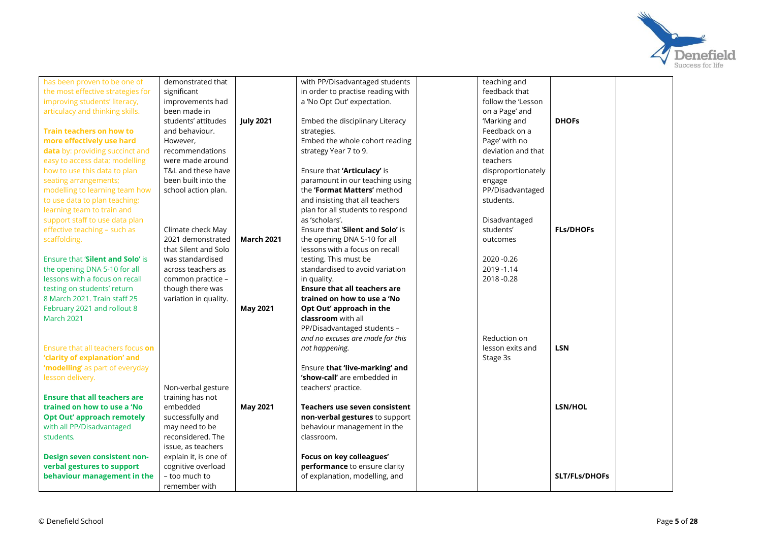

| has been proven to be one of        | demonstrated that     |                   | with PP/Disadvantaged students      | teaching and       |                      |
|-------------------------------------|-----------------------|-------------------|-------------------------------------|--------------------|----------------------|
| the most effective strategies for   | significant           |                   | in order to practise reading with   | feedback that      |                      |
| improving students' literacy,       | improvements had      |                   | a 'No Opt Out' expectation.         | follow the 'Lesson |                      |
| articulacy and thinking skills.     | been made in          |                   |                                     | on a Page' and     |                      |
|                                     | students' attitudes   | <b>July 2021</b>  | Embed the disciplinary Literacy     | 'Marking and       | <b>DHOFS</b>         |
| <b>Train teachers on how to</b>     | and behaviour.        |                   | strategies.                         | Feedback on a      |                      |
| more effectively use hard           | However,              |                   | Embed the whole cohort reading      | Page' with no      |                      |
| data by: providing succinct and     | recommendations       |                   | strategy Year 7 to 9.               | deviation and that |                      |
| easy to access data; modelling      | were made around      |                   |                                     | teachers           |                      |
| how to use this data to plan        | T&L and these have    |                   | Ensure that 'Articulacy' is         | disproportionately |                      |
| seating arrangements;               | been built into the   |                   | paramount in our teaching using     | engage             |                      |
| modelling to learning team how      | school action plan.   |                   | the 'Format Matters' method         | PP/Disadvantaged   |                      |
| to use data to plan teaching;       |                       |                   | and insisting that all teachers     | students.          |                      |
| learning team to train and          |                       |                   | plan for all students to respond    |                    |                      |
| support staff to use data plan      |                       |                   | as 'scholars'.                      | Disadvantaged      |                      |
| effective teaching - such as        | Climate check May     |                   | Ensure that 'Silent and Solo' is    | students'          | <b>FLs/DHOFs</b>     |
| scaffolding.                        | 2021 demonstrated     | <b>March 2021</b> | the opening DNA 5-10 for all        | outcomes           |                      |
|                                     | that Silent and Solo  |                   | lessons with a focus on recall      |                    |                      |
| Ensure that 'Silent and Solo' is    | was standardised      |                   | testing. This must be               | 2020 - 0.26        |                      |
| the opening DNA 5-10 for all        | across teachers as    |                   | standardised to avoid variation     | 2019 - 1.14        |                      |
| lessons with a focus on recall      | common practice -     |                   | in quality.                         | 2018-0.28          |                      |
| testing on students' return         | though there was      |                   | <b>Ensure that all teachers are</b> |                    |                      |
| 8 March 2021. Train staff 25        | variation in quality. |                   | trained on how to use a 'No         |                    |                      |
| February 2021 and rollout 8         |                       | <b>May 2021</b>   | Opt Out' approach in the            |                    |                      |
| March 2021                          |                       |                   | classroom with all                  |                    |                      |
|                                     |                       |                   | PP/Disadvantaged students -         |                    |                      |
|                                     |                       |                   | and no excuses are made for this    | Reduction on       |                      |
| Ensure that all teachers focus on   |                       |                   | not happening.                      | lesson exits and   | <b>LSN</b>           |
| 'clarity of explanation' and        |                       |                   |                                     | Stage 3s           |                      |
| 'modelling' as part of everyday     |                       |                   | Ensure that 'live-marking' and      |                    |                      |
| lesson delivery.                    |                       |                   | 'show-call' are embedded in         |                    |                      |
|                                     | Non-verbal gesture    |                   | teachers' practice.                 |                    |                      |
| <b>Ensure that all teachers are</b> | training has not      |                   |                                     |                    |                      |
| trained on how to use a 'No         | embedded              | <b>May 2021</b>   | Teachers use seven consistent       |                    | LSN/HOL              |
| <b>Opt Out' approach remotely</b>   | successfully and      |                   | non-verbal gestures to support      |                    |                      |
| with all PP/Disadvantaged           | may need to be        |                   | behaviour management in the         |                    |                      |
| students.                           | reconsidered. The     |                   | classroom.                          |                    |                      |
|                                     | issue, as teachers    |                   |                                     |                    |                      |
| Design seven consistent non-        | explain it, is one of |                   | Focus on key colleagues'            |                    |                      |
| verbal gestures to support          | cognitive overload    |                   | performance to ensure clarity       |                    |                      |
| behaviour management in the         | - too much to         |                   | of explanation, modelling, and      |                    | <b>SLT/FLs/DHOFs</b> |
|                                     | remember with         |                   |                                     |                    |                      |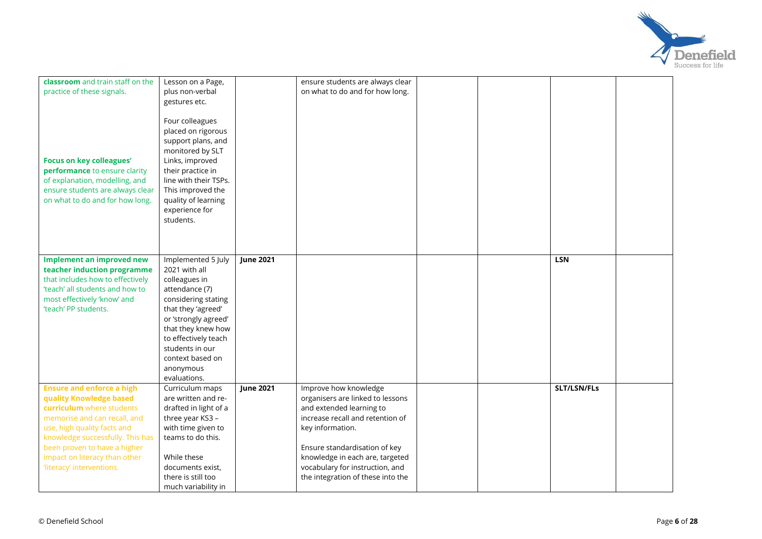

| classroom and train staff on the | Lesson on a Page,                       |                  | ensure students are always clear  |  |             |  |
|----------------------------------|-----------------------------------------|------------------|-----------------------------------|--|-------------|--|
| practice of these signals.       | plus non-verbal                         |                  | on what to do and for how long.   |  |             |  |
|                                  | gestures etc.                           |                  |                                   |  |             |  |
|                                  |                                         |                  |                                   |  |             |  |
|                                  | Four colleagues                         |                  |                                   |  |             |  |
|                                  | placed on rigorous                      |                  |                                   |  |             |  |
|                                  | support plans, and                      |                  |                                   |  |             |  |
|                                  | monitored by SLT                        |                  |                                   |  |             |  |
| <b>Focus on key colleagues'</b>  | Links, improved                         |                  |                                   |  |             |  |
| performance to ensure clarity    | their practice in                       |                  |                                   |  |             |  |
| of explanation, modelling, and   | line with their TSPs.                   |                  |                                   |  |             |  |
| ensure students are always clear | This improved the                       |                  |                                   |  |             |  |
| on what to do and for how long.  | quality of learning                     |                  |                                   |  |             |  |
|                                  | experience for                          |                  |                                   |  |             |  |
|                                  | students.                               |                  |                                   |  |             |  |
|                                  |                                         |                  |                                   |  |             |  |
|                                  |                                         |                  |                                   |  |             |  |
|                                  |                                         |                  |                                   |  |             |  |
| <b>Implement an improved new</b> | Implemented 5 July                      | <b>June 2021</b> |                                   |  | <b>LSN</b>  |  |
| teacher induction programme      | 2021 with all                           |                  |                                   |  |             |  |
| that includes how to effectively | colleagues in                           |                  |                                   |  |             |  |
| 'teach' all students and how to  | attendance (7)                          |                  |                                   |  |             |  |
| most effectively 'know' and      | considering stating                     |                  |                                   |  |             |  |
| 'teach' PP students.             | that they 'agreed'                      |                  |                                   |  |             |  |
|                                  | or 'strongly agreed'                    |                  |                                   |  |             |  |
|                                  | that they knew how                      |                  |                                   |  |             |  |
|                                  | to effectively teach<br>students in our |                  |                                   |  |             |  |
|                                  | context based on                        |                  |                                   |  |             |  |
|                                  | anonymous                               |                  |                                   |  |             |  |
|                                  | evaluations.                            |                  |                                   |  |             |  |
| <b>Ensure and enforce a high</b> | Curriculum maps                         | <b>June 2021</b> | Improve how knowledge             |  | SLT/LSN/FLs |  |
| quality Knowledge based          | are written and re-                     |                  | organisers are linked to lessons  |  |             |  |
| curriculum where students        | drafted in light of a                   |                  | and extended learning to          |  |             |  |
| memorise and can recall, and     | three year KS3 -                        |                  | increase recall and retention of  |  |             |  |
| use, high quality facts and      | with time given to                      |                  | key information.                  |  |             |  |
| knowledge successfully. This has | teams to do this.                       |                  |                                   |  |             |  |
| been proven to have a higher     |                                         |                  | Ensure standardisation of key     |  |             |  |
| impact on literacy than other    | While these                             |                  | knowledge in each are, targeted   |  |             |  |
| 'literacy' interventions.        | documents exist,                        |                  | vocabulary for instruction, and   |  |             |  |
|                                  | there is still too                      |                  | the integration of these into the |  |             |  |
|                                  | much variability in                     |                  |                                   |  |             |  |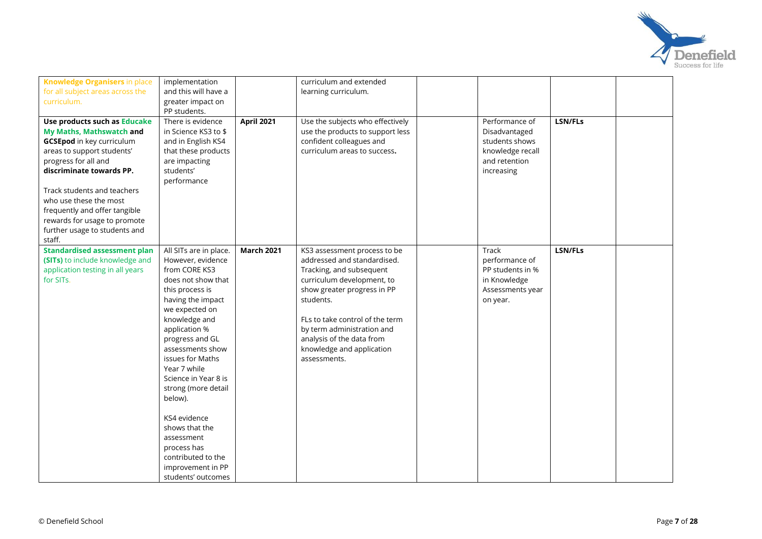

| <b>Knowledge Organisers in place</b> | implementation         |                   | curriculum and extended          |                  |                |  |
|--------------------------------------|------------------------|-------------------|----------------------------------|------------------|----------------|--|
| for all subject areas across the     | and this will have a   |                   | learning curriculum.             |                  |                |  |
| curriculum.                          | greater impact on      |                   |                                  |                  |                |  |
|                                      | PP students.           |                   |                                  |                  |                |  |
| Use products such as Educake         | There is evidence      | <b>April 2021</b> | Use the subjects who effectively | Performance of   | <b>LSN/FLs</b> |  |
| My Maths, Mathswatch and             | in Science KS3 to \$   |                   | use the products to support less | Disadvantaged    |                |  |
| <b>GCSEpod</b> in key curriculum     | and in English KS4     |                   | confident colleagues and         | students shows   |                |  |
| areas to support students'           | that these products    |                   | curriculum areas to success.     | knowledge recall |                |  |
| progress for all and                 | are impacting          |                   |                                  | and retention    |                |  |
| discriminate towards PP.             | students'              |                   |                                  | increasing       |                |  |
|                                      | performance            |                   |                                  |                  |                |  |
| Track students and teachers          |                        |                   |                                  |                  |                |  |
| who use these the most               |                        |                   |                                  |                  |                |  |
| frequently and offer tangible        |                        |                   |                                  |                  |                |  |
| rewards for usage to promote         |                        |                   |                                  |                  |                |  |
| further usage to students and        |                        |                   |                                  |                  |                |  |
| staff.                               |                        |                   |                                  |                  |                |  |
| <b>Standardised assessment plan</b>  | All SITs are in place. | <b>March 2021</b> | KS3 assessment process to be     | Track            | LSN/FLs        |  |
| (SITs) to include knowledge and      | However, evidence      |                   | addressed and standardised.      | performance of   |                |  |
| application testing in all years     | from CORE KS3          |                   | Tracking, and subsequent         | PP students in % |                |  |
| for SITs.                            | does not show that     |                   | curriculum development, to       | in Knowledge     |                |  |
|                                      | this process is        |                   | show greater progress in PP      | Assessments year |                |  |
|                                      | having the impact      |                   | students.                        | on year.         |                |  |
|                                      | we expected on         |                   |                                  |                  |                |  |
|                                      | knowledge and          |                   | FLs to take control of the term  |                  |                |  |
|                                      | application %          |                   | by term administration and       |                  |                |  |
|                                      | progress and GL        |                   | analysis of the data from        |                  |                |  |
|                                      | assessments show       |                   | knowledge and application        |                  |                |  |
|                                      | issues for Maths       |                   | assessments.                     |                  |                |  |
|                                      | Year 7 while           |                   |                                  |                  |                |  |
|                                      | Science in Year 8 is   |                   |                                  |                  |                |  |
|                                      | strong (more detail    |                   |                                  |                  |                |  |
|                                      | below).                |                   |                                  |                  |                |  |
|                                      |                        |                   |                                  |                  |                |  |
|                                      | KS4 evidence           |                   |                                  |                  |                |  |
|                                      | shows that the         |                   |                                  |                  |                |  |
|                                      | assessment             |                   |                                  |                  |                |  |
|                                      | process has            |                   |                                  |                  |                |  |
|                                      | contributed to the     |                   |                                  |                  |                |  |
|                                      | improvement in PP      |                   |                                  |                  |                |  |
|                                      | students' outcomes     |                   |                                  |                  |                |  |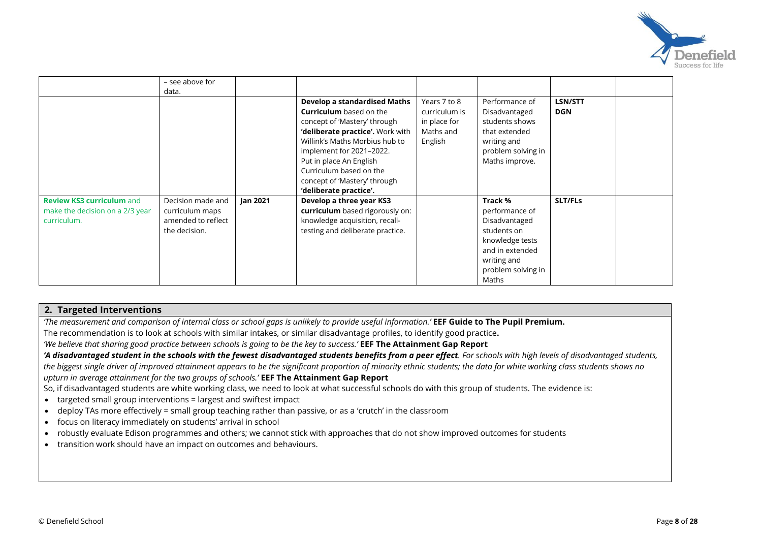

|                                                                                    | - see above for<br>data.                                                    |          |                                                                                                                                                                                                                                                                                                                  |                                                                       |                                                                                                                                               |                       |  |
|------------------------------------------------------------------------------------|-----------------------------------------------------------------------------|----------|------------------------------------------------------------------------------------------------------------------------------------------------------------------------------------------------------------------------------------------------------------------------------------------------------------------|-----------------------------------------------------------------------|-----------------------------------------------------------------------------------------------------------------------------------------------|-----------------------|--|
|                                                                                    |                                                                             |          | Develop a standardised Maths<br><b>Curriculum</b> based on the<br>concept of 'Mastery' through<br>'deliberate practice'. Work with<br>Willink's Maths Morbius hub to<br>implement for 2021-2022.<br>Put in place An English<br>Curriculum based on the<br>concept of 'Mastery' through<br>'deliberate practice'. | Years 7 to 8<br>curriculum is<br>in place for<br>Maths and<br>English | Performance of<br>Disadvantaged<br>students shows<br>that extended<br>writing and<br>problem solving in<br>Maths improve.                     | LSN/STT<br><b>DGN</b> |  |
| <b>Review KS3 curriculum and</b><br>make the decision on a 2/3 year<br>curriculum. | Decision made and<br>curriculum maps<br>amended to reflect<br>the decision. | Jan 2021 | Develop a three year KS3<br>curriculum based rigorously on:<br>knowledge acquisition, recall-<br>testing and deliberate practice.                                                                                                                                                                                |                                                                       | Track %<br>performance of<br>Disadvantaged<br>students on<br>knowledge tests<br>and in extended<br>writing and<br>problem solving in<br>Maths | SLT/FLs               |  |

#### **2. Targeted Interventions**

*'The measurement and comparison of internal class or school gaps is unlikely to provide useful information.'* **EEF Guide to The Pupil Premium.**

The recommendation is to look at schools with similar intakes, or similar disadvantage profiles, to identify good practice**.**

*'We believe that sharing good practice between schools is going to be the key to success.'* **EEF The Attainment Gap Report**

*'A disadvantaged student in the schools with the fewest disadvantaged students benefits from a peer effect. For schools with high levels of disadvantaged students, the biggest single driver of improved attainment appears to be the significant proportion of minority ethnic students; the data for white working class students shows no upturn in average attainment for the two groups of schools.'* **EEF The Attainment Gap Report**

So, if disadvantaged students are white working class, we need to look at what successful schools do with this group of students. The evidence is:

- targeted small group interventions = largest and swiftest impact
- deploy TAs more effectively = small group teaching rather than passive, or as a 'crutch' in the classroom
- focus on literacy immediately on students' arrival in school
- robustly evaluate Edison programmes and others; we cannot stick with approaches that do not show improved outcomes for students
- transition work should have an impact on outcomes and behaviours.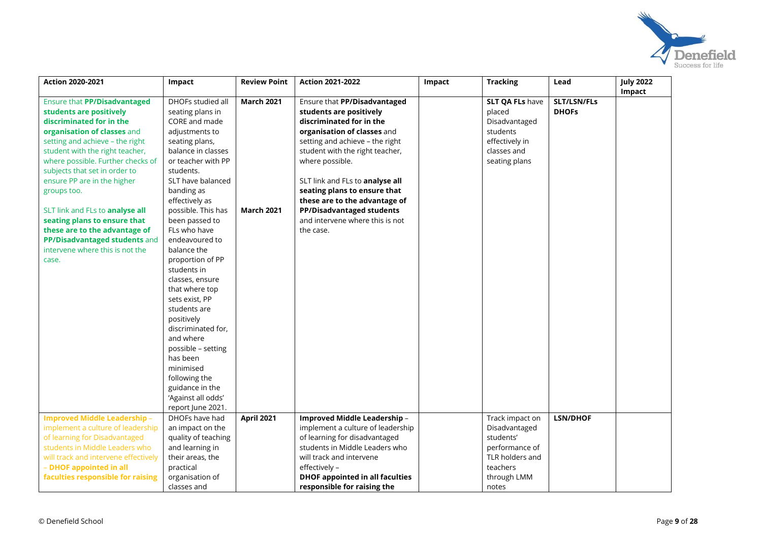

| <b>Action 2020-2021</b>              | <b>Impact</b>                       | <b>Review Point</b> | <b>Action 2021-2022</b>                | Impact | <b>Tracking</b>        | Lead            | <b>July 2022</b><br>Impact |
|--------------------------------------|-------------------------------------|---------------------|----------------------------------------|--------|------------------------|-----------------|----------------------------|
| Ensure that PP/Disadvantaged         | DHOFs studied all                   | <b>March 2021</b>   | Ensure that PP/Disadvantaged           |        | <b>SLT QA FLs have</b> | SLT/LSN/FLs     |                            |
| students are positively              | seating plans in                    |                     | students are positively                |        | placed                 | <b>DHOFS</b>    |                            |
| discriminated for in the             | CORE and made                       |                     | discriminated for in the               |        | Disadvantaged          |                 |                            |
| organisation of classes and          | adjustments to                      |                     | organisation of classes and            |        | students               |                 |                            |
| setting and achieve - the right      | seating plans,                      |                     | setting and achieve - the right        |        | effectively in         |                 |                            |
| student with the right teacher,      | balance in classes                  |                     | student with the right teacher,        |        | classes and            |                 |                            |
| where possible. Further checks of    | or teacher with PP                  |                     | where possible.                        |        | seating plans          |                 |                            |
| subjects that set in order to        | students.                           |                     |                                        |        |                        |                 |                            |
| ensure PP are in the higher          | SLT have balanced                   |                     | SLT link and FLs to analyse all        |        |                        |                 |                            |
| groups too.                          | banding as                          |                     | seating plans to ensure that           |        |                        |                 |                            |
|                                      | effectively as                      |                     | these are to the advantage of          |        |                        |                 |                            |
| SLT link and FLs to analyse all      | possible. This has                  | <b>March 2021</b>   | PP/Disadvantaged students              |        |                        |                 |                            |
| seating plans to ensure that         | been passed to                      |                     | and intervene where this is not        |        |                        |                 |                            |
| these are to the advantage of        | FLs who have                        |                     | the case.                              |        |                        |                 |                            |
| PP/Disadvantaged students and        | endeavoured to                      |                     |                                        |        |                        |                 |                            |
| intervene where this is not the      | balance the                         |                     |                                        |        |                        |                 |                            |
| case.                                | proportion of PP                    |                     |                                        |        |                        |                 |                            |
|                                      | students in                         |                     |                                        |        |                        |                 |                            |
|                                      | classes, ensure                     |                     |                                        |        |                        |                 |                            |
|                                      | that where top                      |                     |                                        |        |                        |                 |                            |
|                                      | sets exist, PP                      |                     |                                        |        |                        |                 |                            |
|                                      | students are                        |                     |                                        |        |                        |                 |                            |
|                                      | positively                          |                     |                                        |        |                        |                 |                            |
|                                      | discriminated for,                  |                     |                                        |        |                        |                 |                            |
|                                      | and where                           |                     |                                        |        |                        |                 |                            |
|                                      | possible - setting                  |                     |                                        |        |                        |                 |                            |
|                                      | has been                            |                     |                                        |        |                        |                 |                            |
|                                      | minimised                           |                     |                                        |        |                        |                 |                            |
|                                      | following the                       |                     |                                        |        |                        |                 |                            |
|                                      | guidance in the                     |                     |                                        |        |                        |                 |                            |
|                                      | 'Against all odds'                  |                     |                                        |        |                        |                 |                            |
| <b>Improved Middle Leadership -</b>  | report June 2021.<br>DHOFs have had | <b>April 2021</b>   | Improved Middle Leadership -           |        | Track impact on        | <b>LSN/DHOF</b> |                            |
| implement a culture of leadership    | an impact on the                    |                     | implement a culture of leadership      |        | Disadvantaged          |                 |                            |
| of learning for Disadvantaged        | quality of teaching                 |                     | of learning for disadvantaged          |        | students'              |                 |                            |
| students in Middle Leaders who       | and learning in                     |                     | students in Middle Leaders who         |        | performance of         |                 |                            |
| will track and intervene effectively | their areas, the                    |                     | will track and intervene               |        | TLR holders and        |                 |                            |
| - DHOF appointed in all              | practical                           |                     | effectively -                          |        | teachers               |                 |                            |
| faculties responsible for raising    | organisation of                     |                     | <b>DHOF appointed in all faculties</b> |        | through LMM            |                 |                            |
|                                      | classes and                         |                     | responsible for raising the            |        | notes                  |                 |                            |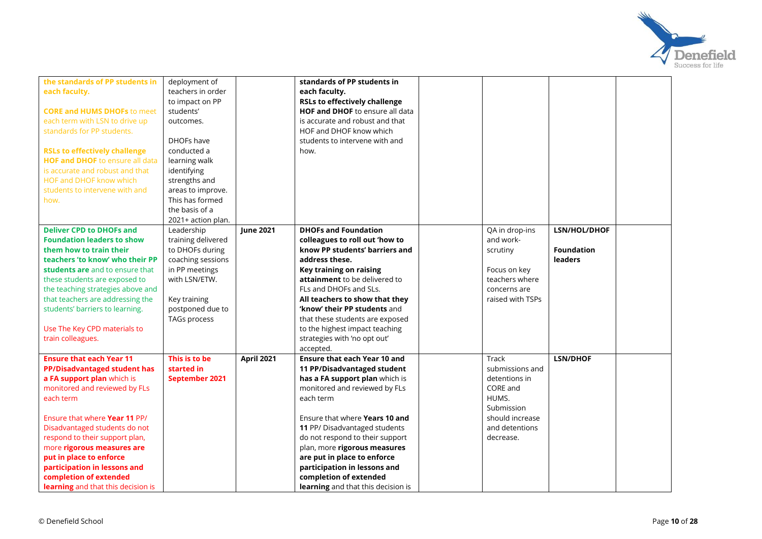

| the standards of PP students in           | deployment of      |                   | standards of PP students in          |                  |                   |  |
|-------------------------------------------|--------------------|-------------------|--------------------------------------|------------------|-------------------|--|
| each faculty.                             | teachers in order  |                   | each faculty.                        |                  |                   |  |
|                                           | to impact on PP    |                   | <b>RSLs to effectively challenge</b> |                  |                   |  |
| <b>CORE and HUMS DHOFs to meet</b>        | students'          |                   | HOF and DHOF to ensure all data      |                  |                   |  |
| each term with LSN to drive up            | outcomes.          |                   | is accurate and robust and that      |                  |                   |  |
| standards for PP students.                |                    |                   | HOF and DHOF know which              |                  |                   |  |
|                                           | DHOFs have         |                   | students to intervene with and       |                  |                   |  |
| <b>RSLs to effectively challenge</b>      | conducted a        |                   | how.                                 |                  |                   |  |
| <b>HOF and DHOF</b> to ensure all data    | learning walk      |                   |                                      |                  |                   |  |
| is accurate and robust and that           | identifying        |                   |                                      |                  |                   |  |
| HOF and DHOF know which                   | strengths and      |                   |                                      |                  |                   |  |
| students to intervene with and            | areas to improve.  |                   |                                      |                  |                   |  |
| how.                                      | This has formed    |                   |                                      |                  |                   |  |
|                                           | the basis of a     |                   |                                      |                  |                   |  |
|                                           | 2021+ action plan. |                   |                                      |                  |                   |  |
| <b>Deliver CPD to DHOFs and</b>           | Leadership         | <b>June 2021</b>  | <b>DHOFs and Foundation</b>          | QA in drop-ins   | LSN/HOL/DHOF      |  |
| <b>Foundation leaders to show</b>         | training delivered |                   | colleagues to roll out 'how to       | and work-        |                   |  |
| them how to train their                   | to DHOFs during    |                   | know PP students' barriers and       | scrutiny         | <b>Foundation</b> |  |
| teachers 'to know' who their PP           | coaching sessions  |                   | address these.                       |                  | leaders           |  |
| students are and to ensure that           | in PP meetings     |                   | Key training on raising              | Focus on key     |                   |  |
| these students are exposed to             | with LSN/ETW.      |                   | attainment to be delivered to        | teachers where   |                   |  |
| the teaching strategies above and         |                    |                   | FLs and DHOFs and SLs.               | concerns are     |                   |  |
| that teachers are addressing the          | Key training       |                   | All teachers to show that they       | raised with TSPs |                   |  |
| students' barriers to learning.           | postponed due to   |                   | 'know' their PP students and         |                  |                   |  |
|                                           | TAGs process       |                   | that these students are exposed      |                  |                   |  |
| Use The Key CPD materials to              |                    |                   | to the highest impact teaching       |                  |                   |  |
| train colleagues.                         |                    |                   | strategies with 'no opt out'         |                  |                   |  |
|                                           |                    |                   | accepted.                            |                  |                   |  |
| <b>Ensure that each Year 11</b>           | This is to be      | <b>April 2021</b> | <b>Ensure that each Year 10 and</b>  | Track            | <b>LSN/DHOF</b>   |  |
| <b>PP/Disadvantaged student has</b>       | started in         |                   | 11 PP/Disadvantaged student          | submissions and  |                   |  |
| a FA support plan which is                | September 2021     |                   | has a FA support plan which is       | detentions in    |                   |  |
| monitored and reviewed by FLs             |                    |                   | monitored and reviewed by FLs        | CORE and         |                   |  |
| each term                                 |                    |                   | each term                            | HUMS.            |                   |  |
|                                           |                    |                   |                                      | Submission       |                   |  |
| Ensure that where Year 11 PP/             |                    |                   | Ensure that where Years 10 and       | should increase  |                   |  |
| Disadvantaged students do not             |                    |                   | 11 PP/ Disadvantaged students        | and detentions   |                   |  |
| respond to their support plan,            |                    |                   | do not respond to their support      | decrease.        |                   |  |
| more rigorous measures are                |                    |                   | plan, more rigorous measures         |                  |                   |  |
| put in place to enforce                   |                    |                   | are put in place to enforce          |                  |                   |  |
| participation in lessons and              |                    |                   | participation in lessons and         |                  |                   |  |
| completion of extended                    |                    |                   | completion of extended               |                  |                   |  |
| <b>learning</b> and that this decision is |                    |                   | learning and that this decision is   |                  |                   |  |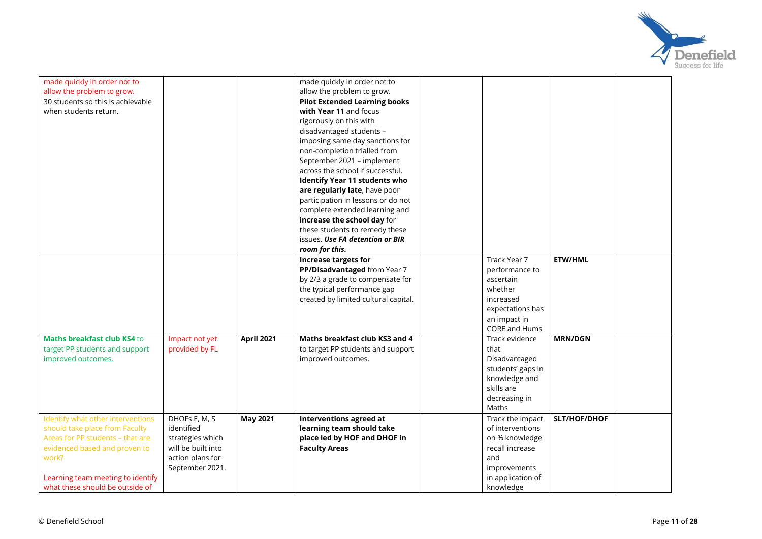

| made quickly in order not to      |                    |                   | made quickly in order not to         |                   |                |  |
|-----------------------------------|--------------------|-------------------|--------------------------------------|-------------------|----------------|--|
| allow the problem to grow.        |                    |                   | allow the problem to grow.           |                   |                |  |
| 30 students so this is achievable |                    |                   | <b>Pilot Extended Learning books</b> |                   |                |  |
| when students return.             |                    |                   | with Year 11 and focus               |                   |                |  |
|                                   |                    |                   | rigorously on this with              |                   |                |  |
|                                   |                    |                   | disadvantaged students -             |                   |                |  |
|                                   |                    |                   | imposing same day sanctions for      |                   |                |  |
|                                   |                    |                   | non-completion trialled from         |                   |                |  |
|                                   |                    |                   | September 2021 - implement           |                   |                |  |
|                                   |                    |                   | across the school if successful.     |                   |                |  |
|                                   |                    |                   | <b>Identify Year 11 students who</b> |                   |                |  |
|                                   |                    |                   | are regularly late, have poor        |                   |                |  |
|                                   |                    |                   | participation in lessons or do not   |                   |                |  |
|                                   |                    |                   | complete extended learning and       |                   |                |  |
|                                   |                    |                   | increase the school day for          |                   |                |  |
|                                   |                    |                   | these students to remedy these       |                   |                |  |
|                                   |                    |                   | issues. Use FA detention or BIR      |                   |                |  |
|                                   |                    |                   | room for this.                       |                   |                |  |
|                                   |                    |                   | Increase targets for                 | Track Year 7      | <b>ETW/HML</b> |  |
|                                   |                    |                   | PP/Disadvantaged from Year 7         | performance to    |                |  |
|                                   |                    |                   | by 2/3 a grade to compensate for     | ascertain         |                |  |
|                                   |                    |                   | the typical performance gap          | whether           |                |  |
|                                   |                    |                   | created by limited cultural capital. | increased         |                |  |
|                                   |                    |                   |                                      | expectations has  |                |  |
|                                   |                    |                   |                                      | an impact in      |                |  |
|                                   |                    |                   |                                      | CORE and Hums     |                |  |
| Maths breakfast club KS4 to       | Impact not yet     | <b>April 2021</b> | Maths breakfast club KS3 and 4       | Track evidence    | <b>MRN/DGN</b> |  |
| target PP students and support    | provided by FL     |                   | to target PP students and support    | that              |                |  |
| improved outcomes.                |                    |                   | improved outcomes.                   | Disadvantaged     |                |  |
|                                   |                    |                   |                                      | students' gaps in |                |  |
|                                   |                    |                   |                                      | knowledge and     |                |  |
|                                   |                    |                   |                                      | skills are        |                |  |
|                                   |                    |                   |                                      | decreasing in     |                |  |
|                                   |                    |                   |                                      | Maths             |                |  |
| Identify what other interventions | DHOFs E, M, S      | <b>May 2021</b>   | <b>Interventions agreed at</b>       | Track the impact  | SLT/HOF/DHOF   |  |
| should take place from Faculty    | identified         |                   | learning team should take            | of interventions  |                |  |
| Areas for PP students - that are  | strategies which   |                   | place led by HOF and DHOF in         | on % knowledge    |                |  |
| evidenced based and proven to     | will be built into |                   | <b>Faculty Areas</b>                 | recall increase   |                |  |
| work?                             | action plans for   |                   |                                      | and               |                |  |
|                                   | September 2021.    |                   |                                      | improvements      |                |  |
| Learning team meeting to identify |                    |                   |                                      | in application of |                |  |
| what these should be outside of   |                    |                   |                                      | knowledge         |                |  |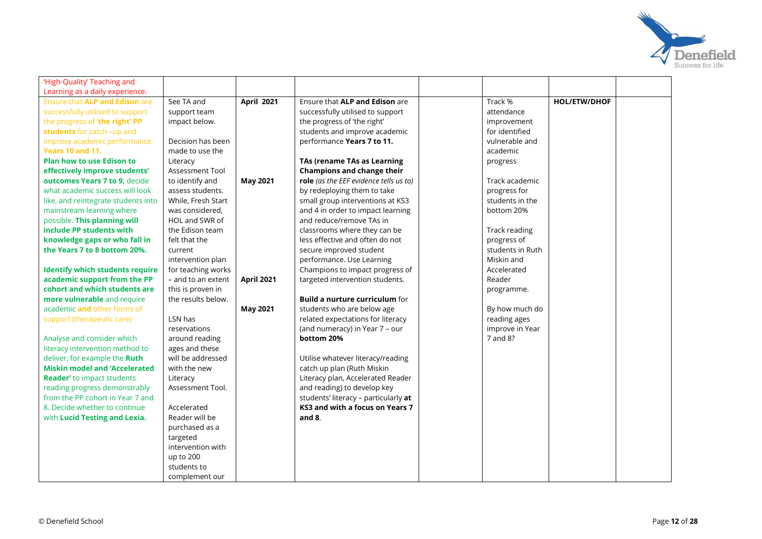

| 'High-Quality' Teaching and            |                    |                   |                                        |                  |                     |  |
|----------------------------------------|--------------------|-------------------|----------------------------------------|------------------|---------------------|--|
| Learning as a daily experience.        |                    |                   |                                        |                  |                     |  |
| Ensure that ALP and Edison are         | See TA and         | <b>April 2021</b> | Ensure that ALP and Edison are         | Track %          | <b>HOL/ETW/DHOF</b> |  |
| successfully utilised to support       | support team       |                   | successfully utilised to support       | attendance       |                     |  |
| the progress of 'the right' PP         | impact below.      |                   | the progress of 'the right'            | improvement      |                     |  |
| students for catch -up and             |                    |                   | students and improve academic          | for identified   |                     |  |
| improve academic performance           | Decision has been  |                   | performance Years 7 to 11.             | vulnerable and   |                     |  |
| <b>Years 10 and 11.</b>                | made to use the    |                   |                                        | academic         |                     |  |
| <b>Plan how to use Edison to</b>       | Literacy           |                   | TAs (rename TAs as Learning            | progress         |                     |  |
| effectively improve students'          | Assessment Tool    |                   | <b>Champions and change their</b>      |                  |                     |  |
| outcomes Years 7 to 9, decide          | to identify and    | <b>May 2021</b>   | role (as the EEF evidence tells us to) | Track academic   |                     |  |
| what academic success will look        | assess students.   |                   | by redeploying them to take            | progress for     |                     |  |
| like, and reintegrate students into    | While, Fresh Start |                   | small group interventions at KS3       | students in the  |                     |  |
| mainstream learning where              | was considered,    |                   | and 4 in order to impact learning      | bottom 20%       |                     |  |
| possible. This planning will           | HOL and SWR of     |                   | and reduce/remove TAs in               |                  |                     |  |
| include PP students with               | the Edison team    |                   | classrooms where they can be           | Track reading    |                     |  |
| knowledge gaps or who fall in          | felt that the      |                   | less effective and often do not        | progress of      |                     |  |
| the Years 7 to 8 bottom 20%.           | current            |                   | secure improved student                | students in Ruth |                     |  |
|                                        | intervention plan  |                   | performance. Use Learning              | Miskin and       |                     |  |
| <b>Identify which students require</b> | for teaching works |                   | Champions to impact progress of        | Accelerated      |                     |  |
| academic support from the PP           | - and to an extent | <b>April 2021</b> | targeted intervention students.        | Reader           |                     |  |
| cohort and which students are          | this is proven in  |                   |                                        | programme.       |                     |  |
| more vulnerable and require            | the results below. |                   | <b>Build a nurture curriculum for</b>  |                  |                     |  |
| academic and other forms of            |                    | <b>May 2021</b>   | students who are below age             | By how much do   |                     |  |
| support (therapeutic care)             | LSN has            |                   | related expectations for literacy      | reading ages     |                     |  |
|                                        | reservations       |                   | (and numeracy) in Year 7 - our         | improve in Year  |                     |  |
| Analyse and consider which             | around reading     |                   | bottom 20%                             | 7 and 8?         |                     |  |
| literacy intervention method to        | ages and these     |                   |                                        |                  |                     |  |
| deliver, for example the Ruth          | will be addressed  |                   | Utilise whatever literacy/reading      |                  |                     |  |
| <b>Miskin model and 'Accelerated</b>   | with the new       |                   | catch up plan (Ruth Miskin             |                  |                     |  |
| <b>Reader'</b> to impact students      | Literacy           |                   | Literacy plan, Accelerated Reader      |                  |                     |  |
| reading progress demonstrably          | Assessment Tool.   |                   | and reading) to develop key            |                  |                     |  |
| from the PP cohort in Year 7 and       |                    |                   | students' literacy - particularly at   |                  |                     |  |
| 8. Decide whether to continue          | Accelerated        |                   | KS3 and with a focus on Years 7        |                  |                     |  |
| with Lucid Testing and Lexia.          | Reader will be     |                   | and 8.                                 |                  |                     |  |
|                                        | purchased as a     |                   |                                        |                  |                     |  |
|                                        | targeted           |                   |                                        |                  |                     |  |
|                                        | intervention with  |                   |                                        |                  |                     |  |
|                                        | up to 200          |                   |                                        |                  |                     |  |
|                                        | students to        |                   |                                        |                  |                     |  |
|                                        | complement our     |                   |                                        |                  |                     |  |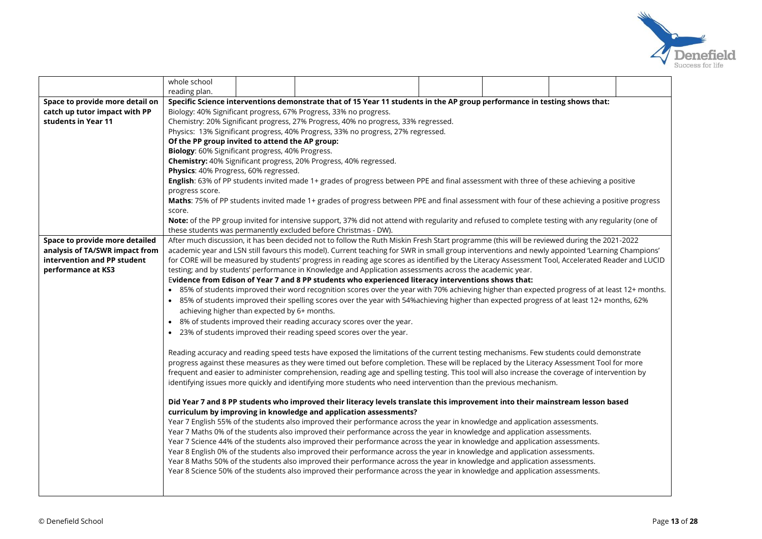

|                                                               | whole school                                    |                                                                                                                                                                                                                                                                                                      |                                                                                                                                                 |  |  |  |  |  |  |  |  |  |  |
|---------------------------------------------------------------|-------------------------------------------------|------------------------------------------------------------------------------------------------------------------------------------------------------------------------------------------------------------------------------------------------------------------------------------------------------|-------------------------------------------------------------------------------------------------------------------------------------------------|--|--|--|--|--|--|--|--|--|--|
|                                                               | reading plan.                                   |                                                                                                                                                                                                                                                                                                      |                                                                                                                                                 |  |  |  |  |  |  |  |  |  |  |
| Space to provide more detail on                               |                                                 | Specific Science interventions demonstrate that of 15 Year 11 students in the AP group performance in testing shows that:                                                                                                                                                                            |                                                                                                                                                 |  |  |  |  |  |  |  |  |  |  |
| catch up tutor impact with PP                                 |                                                 | Biology: 40% Significant progress, 67% Progress, 33% no progress.                                                                                                                                                                                                                                    |                                                                                                                                                 |  |  |  |  |  |  |  |  |  |  |
| students in Year 11                                           |                                                 | Chemistry: 20% Significant progress, 27% Progress, 40% no progress, 33% regressed.                                                                                                                                                                                                                   |                                                                                                                                                 |  |  |  |  |  |  |  |  |  |  |
|                                                               |                                                 | Physics: 13% Significant progress, 40% Progress, 33% no progress, 27% regressed.                                                                                                                                                                                                                     |                                                                                                                                                 |  |  |  |  |  |  |  |  |  |  |
|                                                               | Of the PP group invited to attend the AP group: |                                                                                                                                                                                                                                                                                                      |                                                                                                                                                 |  |  |  |  |  |  |  |  |  |  |
|                                                               |                                                 | Biology: 60% Significant progress, 40% Progress.                                                                                                                                                                                                                                                     |                                                                                                                                                 |  |  |  |  |  |  |  |  |  |  |
|                                                               |                                                 | Chemistry: 40% Significant progress, 20% Progress, 40% regressed.                                                                                                                                                                                                                                    |                                                                                                                                                 |  |  |  |  |  |  |  |  |  |  |
|                                                               |                                                 | Physics: 40% Progress, 60% regressed.                                                                                                                                                                                                                                                                |                                                                                                                                                 |  |  |  |  |  |  |  |  |  |  |
|                                                               |                                                 | English: 63% of PP students invited made 1+ grades of progress between PPE and final assessment with three of these achieving a positive                                                                                                                                                             |                                                                                                                                                 |  |  |  |  |  |  |  |  |  |  |
|                                                               | progress score.                                 |                                                                                                                                                                                                                                                                                                      |                                                                                                                                                 |  |  |  |  |  |  |  |  |  |  |
|                                                               |                                                 | Maths: 75% of PP students invited made 1+ grades of progress between PPE and final assessment with four of these achieving a positive progress                                                                                                                                                       |                                                                                                                                                 |  |  |  |  |  |  |  |  |  |  |
|                                                               | score.                                          |                                                                                                                                                                                                                                                                                                      |                                                                                                                                                 |  |  |  |  |  |  |  |  |  |  |
|                                                               |                                                 | Note: of the PP group invited for intensive support, 37% did not attend with regularity and refused to complete testing with any regularity (one of                                                                                                                                                  |                                                                                                                                                 |  |  |  |  |  |  |  |  |  |  |
|                                                               |                                                 | these students was permanently excluded before Christmas - DW).                                                                                                                                                                                                                                      |                                                                                                                                                 |  |  |  |  |  |  |  |  |  |  |
| Space to provide more detailed                                |                                                 | After much discussion, it has been decided not to follow the Ruth Miskin Fresh Start programme (this will be reviewed during the 2021-2022                                                                                                                                                           |                                                                                                                                                 |  |  |  |  |  |  |  |  |  |  |
| analysis of TA/SWR impact from<br>intervention and PP student |                                                 | academic year and LSN still favours this model). Current teaching for SWR in small group interventions and newly appointed 'Learning Champions'<br>for CORE will be measured by students' progress in reading age scores as identified by the Literacy Assessment Tool, Accelerated Reader and LUCID |                                                                                                                                                 |  |  |  |  |  |  |  |  |  |  |
| performance at KS3                                            |                                                 |                                                                                                                                                                                                                                                                                                      | testing; and by students' performance in Knowledge and Application assessments across the academic year.                                        |  |  |  |  |  |  |  |  |  |  |
|                                                               |                                                 |                                                                                                                                                                                                                                                                                                      | Evidence from Edison of Year 7 and 8 PP students who experienced literacy interventions shows that:                                             |  |  |  |  |  |  |  |  |  |  |
|                                                               |                                                 |                                                                                                                                                                                                                                                                                                      | • 85% of students improved their word recognition scores over the year with 70% achieving higher than expected progress of at least 12+ months. |  |  |  |  |  |  |  |  |  |  |
|                                                               |                                                 |                                                                                                                                                                                                                                                                                                      | • 85% of students improved their spelling scores over the year with 54%achieving higher than expected progress of at least 12+ months, 62%      |  |  |  |  |  |  |  |  |  |  |
|                                                               |                                                 | achieving higher than expected by 6+ months.                                                                                                                                                                                                                                                         |                                                                                                                                                 |  |  |  |  |  |  |  |  |  |  |
|                                                               |                                                 |                                                                                                                                                                                                                                                                                                      | • 8% of students improved their reading accuracy scores over the year.                                                                          |  |  |  |  |  |  |  |  |  |  |
|                                                               |                                                 |                                                                                                                                                                                                                                                                                                      | • 23% of students improved their reading speed scores over the year.                                                                            |  |  |  |  |  |  |  |  |  |  |
|                                                               |                                                 |                                                                                                                                                                                                                                                                                                      |                                                                                                                                                 |  |  |  |  |  |  |  |  |  |  |
|                                                               |                                                 |                                                                                                                                                                                                                                                                                                      | Reading accuracy and reading speed tests have exposed the limitations of the current testing mechanisms. Few students could demonstrate         |  |  |  |  |  |  |  |  |  |  |
|                                                               |                                                 |                                                                                                                                                                                                                                                                                                      | progress against these measures as they were timed out before completion. These will be replaced by the Literacy Assessment Tool for more       |  |  |  |  |  |  |  |  |  |  |
|                                                               |                                                 |                                                                                                                                                                                                                                                                                                      | frequent and easier to administer comprehension, reading age and spelling testing. This tool will also increase the coverage of intervention by |  |  |  |  |  |  |  |  |  |  |
|                                                               |                                                 |                                                                                                                                                                                                                                                                                                      | identifying issues more quickly and identifying more students who need intervention than the previous mechanism.                                |  |  |  |  |  |  |  |  |  |  |
|                                                               |                                                 |                                                                                                                                                                                                                                                                                                      | Did Year 7 and 8 PP students who improved their literacy levels translate this improvement into their mainstream lesson based                   |  |  |  |  |  |  |  |  |  |  |
|                                                               |                                                 |                                                                                                                                                                                                                                                                                                      | curriculum by improving in knowledge and application assessments?                                                                               |  |  |  |  |  |  |  |  |  |  |
|                                                               |                                                 |                                                                                                                                                                                                                                                                                                      | Year 7 English 55% of the students also improved their performance across the year in knowledge and application assessments.                    |  |  |  |  |  |  |  |  |  |  |
|                                                               |                                                 |                                                                                                                                                                                                                                                                                                      | Year 7 Maths 0% of the students also improved their performance across the year in knowledge and application assessments.                       |  |  |  |  |  |  |  |  |  |  |
|                                                               |                                                 |                                                                                                                                                                                                                                                                                                      | Year 7 Science 44% of the students also improved their performance across the year in knowledge and application assessments.                    |  |  |  |  |  |  |  |  |  |  |
|                                                               |                                                 |                                                                                                                                                                                                                                                                                                      | Year 8 English 0% of the students also improved their performance across the year in knowledge and application assessments.                     |  |  |  |  |  |  |  |  |  |  |
|                                                               |                                                 |                                                                                                                                                                                                                                                                                                      | Year 8 Maths 50% of the students also improved their performance across the year in knowledge and application assessments.                      |  |  |  |  |  |  |  |  |  |  |
|                                                               |                                                 |                                                                                                                                                                                                                                                                                                      | Year 8 Science 50% of the students also improved their performance across the year in knowledge and application assessments.                    |  |  |  |  |  |  |  |  |  |  |
|                                                               |                                                 |                                                                                                                                                                                                                                                                                                      |                                                                                                                                                 |  |  |  |  |  |  |  |  |  |  |
|                                                               |                                                 |                                                                                                                                                                                                                                                                                                      |                                                                                                                                                 |  |  |  |  |  |  |  |  |  |  |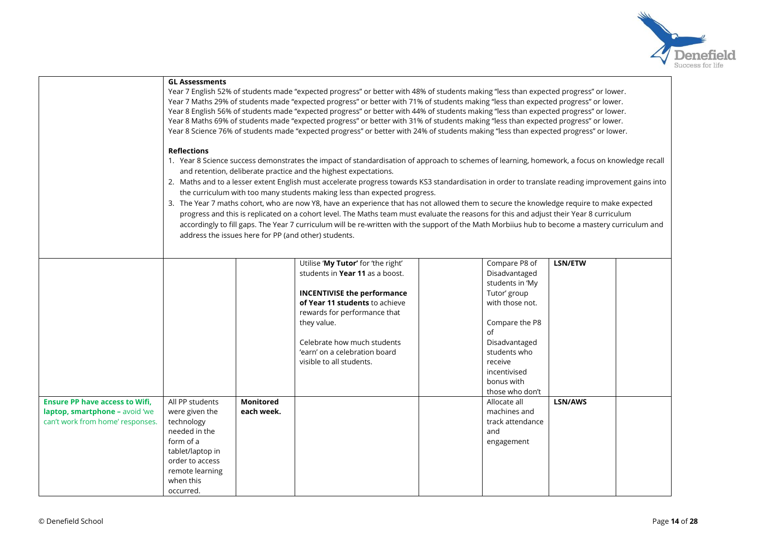

|                                                                                                             | <b>GL Assessments</b>                                                                                                                                             | Year 7 English 52% of students made "expected progress" or better with 48% of students making "less than expected progress" or lower.<br>Year 7 Maths 29% of students made "expected progress" or better with 71% of students making "less than expected progress" or lower.<br>Year 8 English 56% of students made "expected progress" or better with 44% of students making "less than expected progress" or lower.<br>Year 8 Maths 69% of students made "expected progress" or better with 31% of students making "less than expected progress" or lower.<br>Year 8 Science 76% of students made "expected progress" or better with 24% of students making "less than expected progress" or lower.                                                                                                                                                                                                                                                   |                                                                                                                                                                                                                                                                                          |  |                                                                                                                                                                                                           |         |  |  |  |  |  |  |  |
|-------------------------------------------------------------------------------------------------------------|-------------------------------------------------------------------------------------------------------------------------------------------------------------------|---------------------------------------------------------------------------------------------------------------------------------------------------------------------------------------------------------------------------------------------------------------------------------------------------------------------------------------------------------------------------------------------------------------------------------------------------------------------------------------------------------------------------------------------------------------------------------------------------------------------------------------------------------------------------------------------------------------------------------------------------------------------------------------------------------------------------------------------------------------------------------------------------------------------------------------------------------|------------------------------------------------------------------------------------------------------------------------------------------------------------------------------------------------------------------------------------------------------------------------------------------|--|-----------------------------------------------------------------------------------------------------------------------------------------------------------------------------------------------------------|---------|--|--|--|--|--|--|--|
|                                                                                                             | <b>Reflections</b>                                                                                                                                                | 1. Year 8 Science success demonstrates the impact of standardisation of approach to schemes of learning, homework, a focus on knowledge recall<br>and retention, deliberate practice and the highest expectations.<br>2. Maths and to a lesser extent English must accelerate progress towards KS3 standardisation in order to translate reading improvement gains into<br>the curriculum with too many students making less than expected progress.<br>3. The Year 7 maths cohort, who are now Y8, have an experience that has not allowed them to secure the knowledge require to make expected<br>progress and this is replicated on a cohort level. The Maths team must evaluate the reasons for this and adjust their Year 8 curriculum<br>accordingly to fill gaps. The Year 7 curriculum will be re-written with the support of the Math Morbiius hub to become a mastery curriculum and<br>address the issues here for PP (and other) students. |                                                                                                                                                                                                                                                                                          |  |                                                                                                                                                                                                           |         |  |  |  |  |  |  |  |
|                                                                                                             |                                                                                                                                                                   |                                                                                                                                                                                                                                                                                                                                                                                                                                                                                                                                                                                                                                                                                                                                                                                                                                                                                                                                                         |                                                                                                                                                                                                                                                                                          |  |                                                                                                                                                                                                           |         |  |  |  |  |  |  |  |
|                                                                                                             |                                                                                                                                                                   |                                                                                                                                                                                                                                                                                                                                                                                                                                                                                                                                                                                                                                                                                                                                                                                                                                                                                                                                                         | Utilise 'My Tutor' for 'the right'<br>students in Year 11 as a boost.<br><b>INCENTIVISE the performance</b><br>of Year 11 students to achieve<br>rewards for performance that<br>they value.<br>Celebrate how much students<br>'earn' on a celebration board<br>visible to all students. |  | Compare P8 of<br>Disadvantaged<br>students in 'My<br>Tutor' group<br>with those not.<br>Compare the P8<br>of<br>Disadvantaged<br>students who<br>receive<br>incentivised<br>bonus with<br>those who don't | LSN/ETW |  |  |  |  |  |  |  |
| <b>Ensure PP have access to Wifi,</b><br>laptop, smartphone - avoid 'we<br>can't work from home' responses. | All PP students<br>were given the<br>technology<br>needed in the<br>form of a<br>tablet/laptop in<br>order to access<br>remote learning<br>when this<br>occurred. | <b>Monitored</b><br>each week.                                                                                                                                                                                                                                                                                                                                                                                                                                                                                                                                                                                                                                                                                                                                                                                                                                                                                                                          |                                                                                                                                                                                                                                                                                          |  | Allocate all<br>machines and<br>track attendance<br>and<br>engagement                                                                                                                                     | LSN/AWS |  |  |  |  |  |  |  |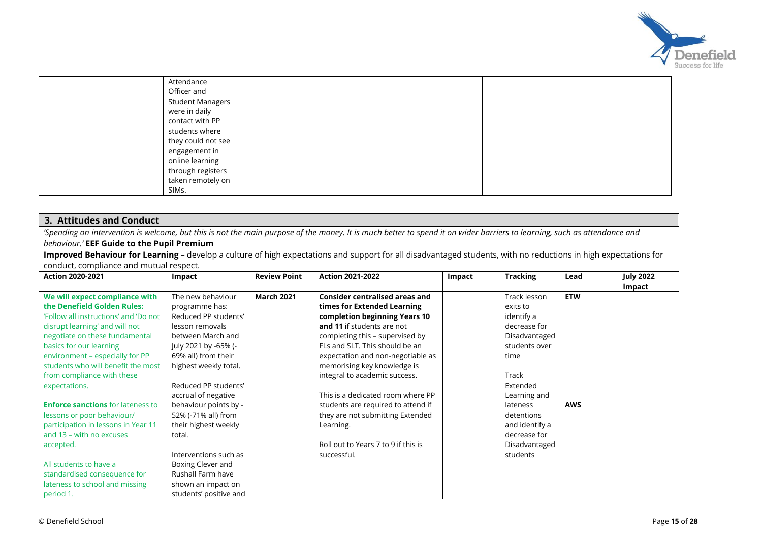

| Attendance              |  |  |  |
|-------------------------|--|--|--|
| Officer and             |  |  |  |
| <b>Student Managers</b> |  |  |  |
| were in daily           |  |  |  |
| contact with PP         |  |  |  |
| students where          |  |  |  |
| they could not see      |  |  |  |
| engagement in           |  |  |  |
| online learning         |  |  |  |
| through registers       |  |  |  |
| taken remotely on       |  |  |  |
| SIMs.                   |  |  |  |

### **3. Attitudes and Conduct**

*'Spending on intervention is welcome, but this is not the main purpose of the money. It is much better to spend it on wider barriers to learning, such as attendance and behaviour.'* **EEF Guide to the Pupil Premium**

**Improved Behaviour for Learning** – develop a culture of high expectations and support for all disadvantaged students, with no reductions in high expectations for conduct, compliance and mutual respect.

| <b>Action 2020-2021</b>                  | Impact                 | <b>Review Point</b> | <b>Action 2021-2022</b>               | Impact | <b>Tracking</b> | Lead       | <b>July 2022</b> |
|------------------------------------------|------------------------|---------------------|---------------------------------------|--------|-----------------|------------|------------------|
|                                          |                        |                     |                                       |        |                 |            | Impact           |
| We will expect compliance with           | The new behaviour      | <b>March 2021</b>   | <b>Consider centralised areas and</b> |        | Track lesson    | <b>ETW</b> |                  |
| the Denefield Golden Rules:              | programme has:         |                     | times for Extended Learning           |        | exits to        |            |                  |
| 'Follow all instructions' and 'Do not    | Reduced PP students'   |                     | completion beginning Years 10         |        | identify a      |            |                  |
| disrupt learning' and will not           | lesson removals        |                     | and 11 if students are not            |        | decrease for    |            |                  |
| negotiate on these fundamental           | between March and      |                     | completing this - supervised by       |        | Disadvantaged   |            |                  |
| basics for our learning                  | July 2021 by -65% (-   |                     | FLs and SLT. This should be an        |        | students over   |            |                  |
| environment - especially for PP          | 69% all) from their    |                     | expectation and non-negotiable as     |        | time            |            |                  |
| students who will benefit the most       | highest weekly total.  |                     | memorising key knowledge is           |        |                 |            |                  |
| from compliance with these               |                        |                     | integral to academic success.         |        | Track           |            |                  |
| expectations.                            | Reduced PP students'   |                     |                                       |        | Extended        |            |                  |
|                                          | accrual of negative    |                     | This is a dedicated room where PP     |        | Learning and    |            |                  |
| <b>Enforce sanctions</b> for lateness to | behaviour points by -  |                     | students are required to attend if    |        | lateness        | <b>AWS</b> |                  |
| lessons or poor behaviour/               | 52% (-71% all) from    |                     | they are not submitting Extended      |        | detentions      |            |                  |
| participation in lessons in Year 11      | their highest weekly   |                     | Learning.                             |        | and identify a  |            |                  |
| and 13 – with no excuses                 | total.                 |                     |                                       |        | decrease for    |            |                  |
| accepted.                                |                        |                     | Roll out to Years 7 to 9 if this is   |        | Disadvantaged   |            |                  |
|                                          | Interventions such as  |                     | successful.                           |        | students        |            |                  |
| All students to have a                   | Boxing Clever and      |                     |                                       |        |                 |            |                  |
| standardised consequence for             | Rushall Farm have      |                     |                                       |        |                 |            |                  |
| lateness to school and missing           | shown an impact on     |                     |                                       |        |                 |            |                  |
| period 1.                                | students' positive and |                     |                                       |        |                 |            |                  |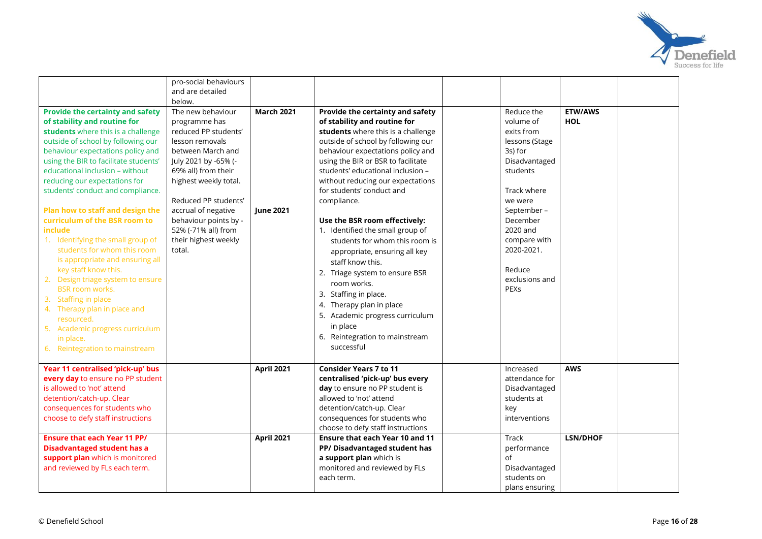

|                                         | pro-social behaviours |                   |                                    |                |                 |  |
|-----------------------------------------|-----------------------|-------------------|------------------------------------|----------------|-----------------|--|
|                                         | and are detailed      |                   |                                    |                |                 |  |
|                                         | below.                |                   |                                    |                |                 |  |
| <b>Provide the certainty and safety</b> | The new behaviour     | <b>March 2021</b> | Provide the certainty and safety   | Reduce the     | <b>ETW/AWS</b>  |  |
| of stability and routine for            | programme has         |                   | of stability and routine for       | volume of      | <b>HOL</b>      |  |
| students where this is a challenge      | reduced PP students'  |                   | students where this is a challenge | exits from     |                 |  |
| outside of school by following our      | lesson removals       |                   | outside of school by following our | lessons (Stage |                 |  |
| behaviour expectations policy and       | between March and     |                   | behaviour expectations policy and  | 3s) for        |                 |  |
| using the BIR to facilitate students'   | July 2021 by -65% (-  |                   | using the BIR or BSR to facilitate | Disadvantaged  |                 |  |
| educational inclusion - without         | 69% all) from their   |                   | students' educational inclusion -  | students       |                 |  |
| reducing our expectations for           | highest weekly total. |                   | without reducing our expectations  |                |                 |  |
| students' conduct and compliance.       |                       |                   | for students' conduct and          | Track where    |                 |  |
|                                         | Reduced PP students'  |                   | compliance.                        | we were        |                 |  |
| Plan how to staff and design the        | accrual of negative   | <b>June 2021</b>  |                                    | September-     |                 |  |
| curriculum of the BSR room to           | behaviour points by - |                   | Use the BSR room effectively:      | December       |                 |  |
| include                                 | 52% (-71% all) from   |                   | 1. Identified the small group of   | 2020 and       |                 |  |
| 1. Identifying the small group of       | their highest weekly  |                   | students for whom this room is     | compare with   |                 |  |
| students for whom this room             | total.                |                   | appropriate, ensuring all key      | 2020-2021.     |                 |  |
| is appropriate and ensuring all         |                       |                   | staff know this.                   |                |                 |  |
| key staff know this.                    |                       |                   | 2. Triage system to ensure BSR     | Reduce         |                 |  |
| 2. Design triage system to ensure       |                       |                   | room works.                        | exclusions and |                 |  |
| <b>BSR room works.</b>                  |                       |                   | 3. Staffing in place.              | PEXS           |                 |  |
| 3. Staffing in place                    |                       |                   | 4. Therapy plan in place           |                |                 |  |
| 4. Therapy plan in place and            |                       |                   | 5. Academic progress curriculum    |                |                 |  |
| resourced.                              |                       |                   | in place                           |                |                 |  |
| 5. Academic progress curriculum         |                       |                   |                                    |                |                 |  |
| in place.                               |                       |                   | 6. Reintegration to mainstream     |                |                 |  |
| 6. Reintegration to mainstream          |                       |                   | successful                         |                |                 |  |
| Year 11 centralised 'pick-up' bus       |                       | <b>April 2021</b> | <b>Consider Years 7 to 11</b>      | Increased      | <b>AWS</b>      |  |
| every day to ensure no PP student       |                       |                   | centralised 'pick-up' bus every    | attendance for |                 |  |
| is allowed to 'not' attend              |                       |                   | day to ensure no PP student is     | Disadvantaged  |                 |  |
| detention/catch-up. Clear               |                       |                   | allowed to 'not' attend            | students at    |                 |  |
| consequences for students who           |                       |                   | detention/catch-up. Clear          | key            |                 |  |
| choose to defy staff instructions       |                       |                   | consequences for students who      | interventions  |                 |  |
|                                         |                       |                   | choose to defy staff instructions  |                |                 |  |
| <b>Ensure that each Year 11 PP/</b>     |                       | <b>April 2021</b> | Ensure that each Year 10 and 11    | <b>Track</b>   | <b>LSN/DHOF</b> |  |
| <b>Disadvantaged student has a</b>      |                       |                   | PP/Disadvantaged student has       | performance    |                 |  |
| support plan which is monitored         |                       |                   | a support plan which is            | of             |                 |  |
| and reviewed by FLs each term.          |                       |                   | monitored and reviewed by FLs      | Disadvantaged  |                 |  |
|                                         |                       |                   | each term.                         | students on    |                 |  |
|                                         |                       |                   |                                    | plans ensuring |                 |  |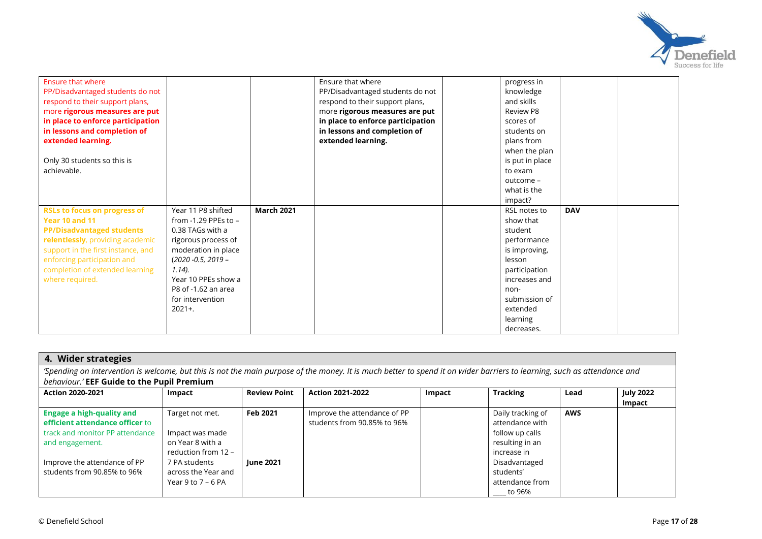

| <b>Ensure that where</b><br>PP/Disadvantaged students do not<br>respond to their support plans,<br>more rigorous measures are put<br>in place to enforce participation<br>in lessons and completion of<br>extended learning.<br>Only 30 students so this is<br>achievable. |                                                                                                                                                                                                                                        |                   | Ensure that where<br>PP/Disadvantaged students do not<br>respond to their support plans,<br>more rigorous measures are put<br>in place to enforce participation<br>in lessons and completion of<br>extended learning. | progress in<br>knowledge<br>and skills<br>Review P8<br>scores of<br>students on<br>plans from<br>when the plan<br>is put in place<br>to exam<br>outcome -<br>what is the<br>impact? |            |  |
|----------------------------------------------------------------------------------------------------------------------------------------------------------------------------------------------------------------------------------------------------------------------------|----------------------------------------------------------------------------------------------------------------------------------------------------------------------------------------------------------------------------------------|-------------------|-----------------------------------------------------------------------------------------------------------------------------------------------------------------------------------------------------------------------|-------------------------------------------------------------------------------------------------------------------------------------------------------------------------------------|------------|--|
| <b>RSLs to focus on progress of</b><br>Year 10 and 11<br><b>PP/Disadvantaged students</b><br>relentlessly, providing academic<br>support in the first instance, and<br>enforcing participation and<br>completion of extended learning<br>where required.                   | Year 11 P8 shifted<br>from $-1.29$ PPEs to $-$<br>0.38 TAGs with a<br>rigorous process of<br>moderation in place<br>$(2020 - 0.5, 2019 -$<br>$1.14$ ).<br>Year 10 PPEs show a<br>P8 of -1.62 an area<br>for intervention<br>$2021 +$ . | <b>March 2021</b> |                                                                                                                                                                                                                       | RSL notes to<br>show that<br>student<br>performance<br>is improving,<br>lesson<br>participation<br>increases and<br>non-<br>submission of<br>extended<br>learning<br>decreases.     | <b>DAV</b> |  |

| 4. Wider strategies                                                                                                                                                      |                      |                     |                              |        |                             |            |                  |  |  |  |  |
|--------------------------------------------------------------------------------------------------------------------------------------------------------------------------|----------------------|---------------------|------------------------------|--------|-----------------------------|------------|------------------|--|--|--|--|
| 'Spending on intervention is welcome, but this is not the main purpose of the money. It is much better to spend it on wider barriers to learning, such as attendance and |                      |                     |                              |        |                             |            |                  |  |  |  |  |
| behaviour.' EEF Guide to the Pupil Premium                                                                                                                               |                      |                     |                              |        |                             |            |                  |  |  |  |  |
| <b>Action 2020-2021</b>                                                                                                                                                  | Impact               | <b>Review Point</b> | <b>Action 2021-2022</b>      | Impact | <b>Tracking</b>             | Lead       | <b>July 2022</b> |  |  |  |  |
|                                                                                                                                                                          |                      |                     |                              |        |                             |            | Impact           |  |  |  |  |
| <b>Engage a high-quality and</b>                                                                                                                                         | Target not met.      | Feb 2021            | Improve the attendance of PP |        | Daily tracking of           | <b>AWS</b> |                  |  |  |  |  |
| efficient attendance officer to                                                                                                                                          |                      |                     | students from 90.85% to 96%  |        | attendance with             |            |                  |  |  |  |  |
| track and monitor PP attendance                                                                                                                                          | Impact was made      |                     |                              |        | follow up calls             |            |                  |  |  |  |  |
| and engagement.                                                                                                                                                          | on Year 8 with a     |                     |                              |        | resulting in an             |            |                  |  |  |  |  |
|                                                                                                                                                                          | reduction from 12 -  |                     |                              |        | increase in                 |            |                  |  |  |  |  |
| Improve the attendance of PP                                                                                                                                             | 7 PA students        | <b>lune 2021</b>    |                              |        | Disadvantaged               |            |                  |  |  |  |  |
| students from 90.85% to 96%                                                                                                                                              | across the Year and  |                     |                              |        | students'                   |            |                  |  |  |  |  |
|                                                                                                                                                                          | Year 9 to $7 - 6$ PA |                     |                              |        | attendance from             |            |                  |  |  |  |  |
|                                                                                                                                                                          |                      |                     |                              |        | $\rule{1em}{0.15mm}$ to 96% |            |                  |  |  |  |  |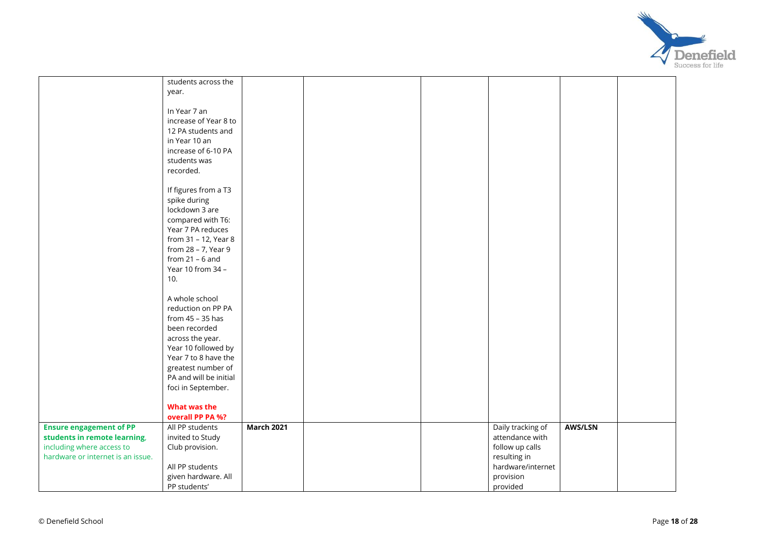

|                                   | students across the    |                   |  |                   |         |  |
|-----------------------------------|------------------------|-------------------|--|-------------------|---------|--|
|                                   | year.                  |                   |  |                   |         |  |
|                                   |                        |                   |  |                   |         |  |
|                                   | In Year 7 an           |                   |  |                   |         |  |
|                                   | increase of Year 8 to  |                   |  |                   |         |  |
|                                   | 12 PA students and     |                   |  |                   |         |  |
|                                   |                        |                   |  |                   |         |  |
|                                   | in Year 10 an          |                   |  |                   |         |  |
|                                   | increase of 6-10 PA    |                   |  |                   |         |  |
|                                   | students was           |                   |  |                   |         |  |
|                                   | recorded.              |                   |  |                   |         |  |
|                                   |                        |                   |  |                   |         |  |
|                                   | If figures from a T3   |                   |  |                   |         |  |
|                                   | spike during           |                   |  |                   |         |  |
|                                   | lockdown 3 are         |                   |  |                   |         |  |
|                                   | compared with T6:      |                   |  |                   |         |  |
|                                   | Year 7 PA reduces      |                   |  |                   |         |  |
|                                   |                        |                   |  |                   |         |  |
|                                   | from 31 - 12, Year 8   |                   |  |                   |         |  |
|                                   | from 28 - 7, Year 9    |                   |  |                   |         |  |
|                                   | from $21 - 6$ and      |                   |  |                   |         |  |
|                                   | Year 10 from 34 -      |                   |  |                   |         |  |
|                                   | 10.                    |                   |  |                   |         |  |
|                                   |                        |                   |  |                   |         |  |
|                                   | A whole school         |                   |  |                   |         |  |
|                                   | reduction on PP PA     |                   |  |                   |         |  |
|                                   | from 45 - 35 has       |                   |  |                   |         |  |
|                                   | been recorded          |                   |  |                   |         |  |
|                                   | across the year.       |                   |  |                   |         |  |
|                                   | Year 10 followed by    |                   |  |                   |         |  |
|                                   |                        |                   |  |                   |         |  |
|                                   | Year 7 to 8 have the   |                   |  |                   |         |  |
|                                   | greatest number of     |                   |  |                   |         |  |
|                                   | PA and will be initial |                   |  |                   |         |  |
|                                   | foci in September.     |                   |  |                   |         |  |
|                                   |                        |                   |  |                   |         |  |
|                                   | What was the           |                   |  |                   |         |  |
|                                   | overall PP PA %?       |                   |  |                   |         |  |
| <b>Ensure engagement of PP</b>    | All PP students        | <b>March 2021</b> |  | Daily tracking of | AWS/LSN |  |
| students in remote learning,      | invited to Study       |                   |  | attendance with   |         |  |
| including where access to         | Club provision.        |                   |  | follow up calls   |         |  |
| hardware or internet is an issue. |                        |                   |  | resulting in      |         |  |
|                                   | All PP students        |                   |  | hardware/internet |         |  |
|                                   | given hardware. All    |                   |  | provision         |         |  |
|                                   | PP students'           |                   |  | provided          |         |  |
|                                   |                        |                   |  |                   |         |  |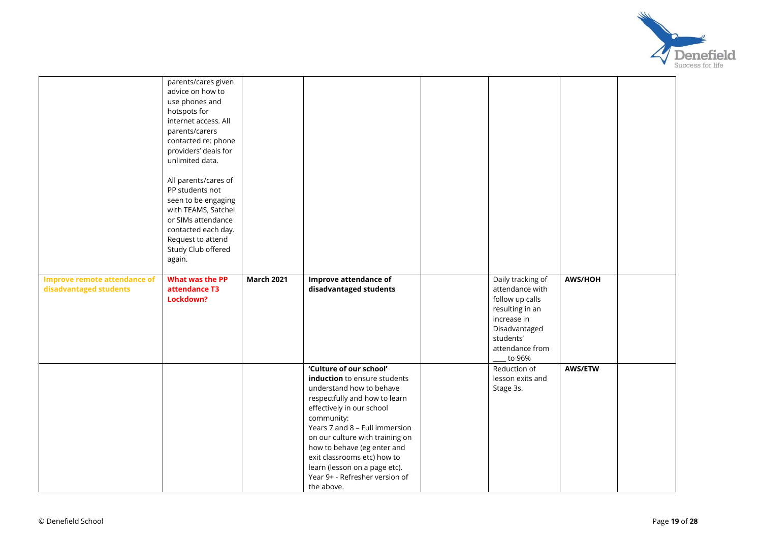

|                                                               | parents/cares given<br>advice on how to<br>use phones and<br>hotspots for<br>internet access. All<br>parents/carers<br>contacted re: phone<br>providers' deals for<br>unlimited data.<br>All parents/cares of<br>PP students not<br>seen to be engaging<br>with TEAMS, Satchel<br>or SIMs attendance<br>contacted each day.<br>Request to attend<br>Study Club offered<br>again. |                   |                                                                                                                                                                                                                                                                                                                                                                                     |                                                                                                                                                      |                |  |
|---------------------------------------------------------------|----------------------------------------------------------------------------------------------------------------------------------------------------------------------------------------------------------------------------------------------------------------------------------------------------------------------------------------------------------------------------------|-------------------|-------------------------------------------------------------------------------------------------------------------------------------------------------------------------------------------------------------------------------------------------------------------------------------------------------------------------------------------------------------------------------------|------------------------------------------------------------------------------------------------------------------------------------------------------|----------------|--|
| <b>Improve remote attendance of</b><br>disadvantaged students | What was the PP<br>attendance T3<br>Lockdown?                                                                                                                                                                                                                                                                                                                                    | <b>March 2021</b> | Improve attendance of<br>disadvantaged students                                                                                                                                                                                                                                                                                                                                     | Daily tracking of<br>attendance with<br>follow up calls<br>resulting in an<br>increase in<br>Disadvantaged<br>students'<br>attendance from<br>to 96% | AWS/HOH        |  |
|                                                               |                                                                                                                                                                                                                                                                                                                                                                                  |                   | 'Culture of our school'<br>induction to ensure students<br>understand how to behave<br>respectfully and how to learn<br>effectively in our school<br>community:<br>Years 7 and 8 - Full immersion<br>on our culture with training on<br>how to behave (eg enter and<br>exit classrooms etc) how to<br>learn (lesson on a page etc).<br>Year 9+ - Refresher version of<br>the above. | Reduction of<br>lesson exits and<br>Stage 3s.                                                                                                        | <b>AWS/ETW</b> |  |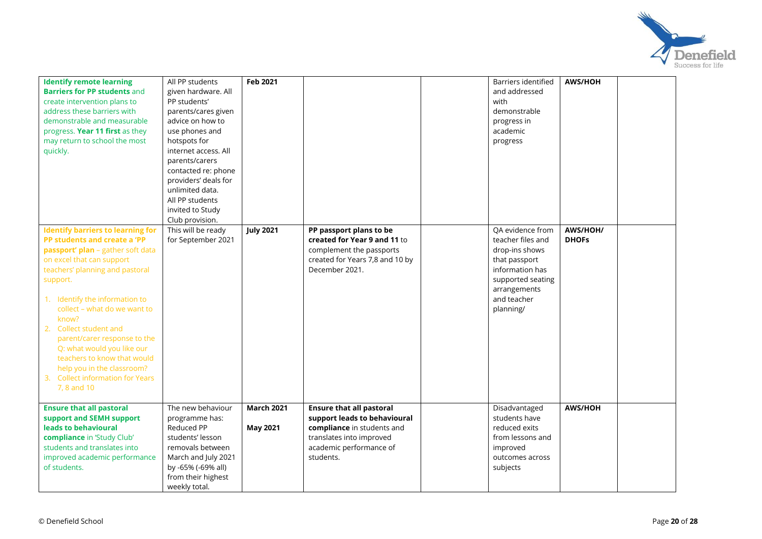

| <b>Identify remote learning</b><br><b>Barriers for PP students and</b><br>create intervention plans to<br>address these barriers with<br>demonstrable and measurable<br>progress. Year 11 first as they<br>may return to school the most<br>quickly.                                                                                                                                                                                                                        | All PP students<br>given hardware. All<br>PP students'<br>parents/cares given<br>advice on how to<br>use phones and<br>hotspots for<br>internet access. All<br>parents/carers<br>contacted re: phone<br>providers' deals for<br>unlimited data.<br>All PP students<br>invited to Study<br>Club provision. | <b>Feb 2021</b>                      |                                                                                                                                                                   | Barriers identified<br>and addressed<br>with<br>demonstrable<br>progress in<br>academic<br>progress                                                          | <b>AWS/HOH</b>           |  |
|-----------------------------------------------------------------------------------------------------------------------------------------------------------------------------------------------------------------------------------------------------------------------------------------------------------------------------------------------------------------------------------------------------------------------------------------------------------------------------|-----------------------------------------------------------------------------------------------------------------------------------------------------------------------------------------------------------------------------------------------------------------------------------------------------------|--------------------------------------|-------------------------------------------------------------------------------------------------------------------------------------------------------------------|--------------------------------------------------------------------------------------------------------------------------------------------------------------|--------------------------|--|
| <b>Identify barriers to learning for</b><br>PP students and create a 'PP<br>passport' plan - gather soft data<br>on excel that can support<br>teachers' planning and pastoral<br>support.<br>1. Identify the information to<br>collect - what do we want to<br>know?<br>2. Collect student and<br>parent/carer response to the<br>Q: what would you like our<br>teachers to know that would<br>help you in the classroom?<br>3. Collect information for Years<br>7.8 and 10 | This will be ready<br>for September 2021                                                                                                                                                                                                                                                                  | <b>July 2021</b>                     | PP passport plans to be<br>created for Year 9 and 11 to<br>complement the passports<br>created for Years 7,8 and 10 by<br>December 2021.                          | QA evidence from<br>teacher files and<br>drop-ins shows<br>that passport<br>information has<br>supported seating<br>arrangements<br>and teacher<br>planning/ | AWS/HOH/<br><b>DHOFS</b> |  |
| <b>Ensure that all pastoral</b><br>support and SEMH support<br>leads to behavioural<br>compliance in 'Study Club'<br>students and translates into<br>improved academic performance<br>of students.                                                                                                                                                                                                                                                                          | The new behaviour<br>programme has:<br>Reduced PP<br>students' lesson<br>removals between<br>March and July 2021<br>by -65% (-69% all)<br>from their highest<br>weekly total.                                                                                                                             | <b>March 2021</b><br><b>May 2021</b> | <b>Ensure that all pastoral</b><br>support leads to behavioural<br>compliance in students and<br>translates into improved<br>academic performance of<br>students. | Disadvantaged<br>students have<br>reduced exits<br>from lessons and<br>improved<br>outcomes across<br>subjects                                               | <b>AWS/HOH</b>           |  |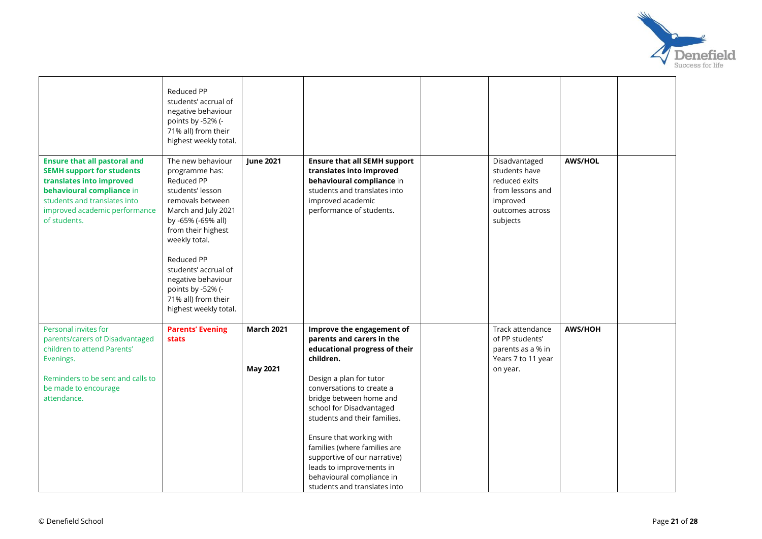

|                                                                                                                                                                                                                   | Reduced PP<br>students' accrual of<br>negative behaviour<br>points by -52% (-<br>71% all) from their<br>highest weekly total.                                                                                                                                                                                  |                                      |                                                                                                                                                                                                                                                                                                                                                                                                                                          |                                                                                                                |                |  |
|-------------------------------------------------------------------------------------------------------------------------------------------------------------------------------------------------------------------|----------------------------------------------------------------------------------------------------------------------------------------------------------------------------------------------------------------------------------------------------------------------------------------------------------------|--------------------------------------|------------------------------------------------------------------------------------------------------------------------------------------------------------------------------------------------------------------------------------------------------------------------------------------------------------------------------------------------------------------------------------------------------------------------------------------|----------------------------------------------------------------------------------------------------------------|----------------|--|
| <b>Ensure that all pastoral and</b><br><b>SEMH support for students</b><br>translates into improved<br>behavioural compliance in<br>students and translates into<br>improved academic performance<br>of students. | The new behaviour<br>programme has:<br>Reduced PP<br>students' lesson<br>removals between<br>March and July 2021<br>by -65% (-69% all)<br>from their highest<br>weekly total.<br>Reduced PP<br>students' accrual of<br>negative behaviour<br>points by -52% (-<br>71% all) from their<br>highest weekly total. | <b>June 2021</b>                     | <b>Ensure that all SEMH support</b><br>translates into improved<br>behavioural compliance in<br>students and translates into<br>improved academic<br>performance of students.                                                                                                                                                                                                                                                            | Disadvantaged<br>students have<br>reduced exits<br>from lessons and<br>improved<br>outcomes across<br>subjects | <b>AWS/HOL</b> |  |
| Personal invites for<br>parents/carers of Disadvantaged<br>children to attend Parents'<br>Evenings.<br>Reminders to be sent and calls to<br>be made to encourage<br>attendance.                                   | <b>Parents' Evening</b><br><b>stats</b>                                                                                                                                                                                                                                                                        | <b>March 2021</b><br><b>May 2021</b> | Improve the engagement of<br>parents and carers in the<br>educational progress of their<br>children.<br>Design a plan for tutor<br>conversations to create a<br>bridge between home and<br>school for Disadvantaged<br>students and their families.<br>Ensure that working with<br>families (where families are<br>supportive of our narrative)<br>leads to improvements in<br>behavioural compliance in<br>students and translates into | Track attendance<br>of PP students'<br>parents as a % in<br>Years 7 to 11 year<br>on year.                     | <b>AWS/HOH</b> |  |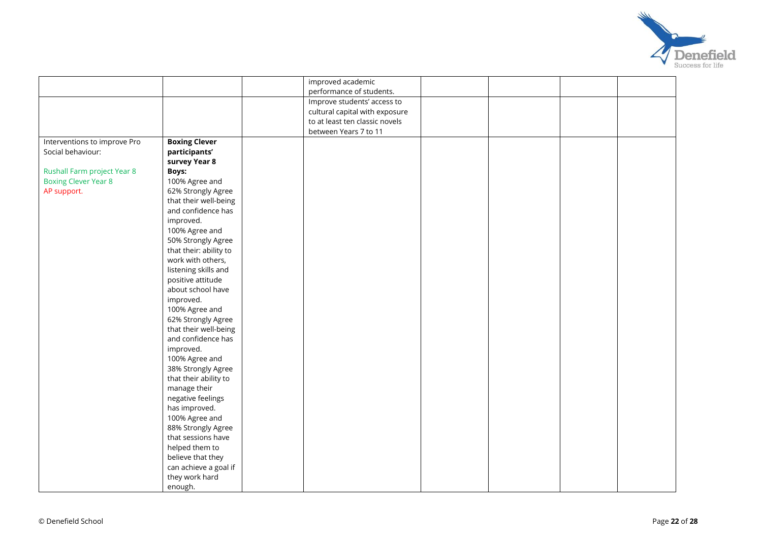

|                              |                        | improved academic              |  |  |
|------------------------------|------------------------|--------------------------------|--|--|
|                              |                        | performance of students.       |  |  |
|                              |                        | Improve students' access to    |  |  |
|                              |                        | cultural capital with exposure |  |  |
|                              |                        | to at least ten classic novels |  |  |
|                              |                        | between Years 7 to 11          |  |  |
| Interventions to improve Pro | <b>Boxing Clever</b>   |                                |  |  |
| Social behaviour:            | participants'          |                                |  |  |
|                              | survey Year 8          |                                |  |  |
| Rushall Farm project Year 8  | <b>Boys:</b>           |                                |  |  |
| <b>Boxing Clever Year 8</b>  | 100% Agree and         |                                |  |  |
| AP support.                  | 62% Strongly Agree     |                                |  |  |
|                              | that their well-being  |                                |  |  |
|                              | and confidence has     |                                |  |  |
|                              | improved.              |                                |  |  |
|                              | 100% Agree and         |                                |  |  |
|                              | 50% Strongly Agree     |                                |  |  |
|                              | that their: ability to |                                |  |  |
|                              | work with others,      |                                |  |  |
|                              | listening skills and   |                                |  |  |
|                              | positive attitude      |                                |  |  |
|                              | about school have      |                                |  |  |
|                              | improved.              |                                |  |  |
|                              | 100% Agree and         |                                |  |  |
|                              | 62% Strongly Agree     |                                |  |  |
|                              | that their well-being  |                                |  |  |
|                              | and confidence has     |                                |  |  |
|                              | improved.              |                                |  |  |
|                              | 100% Agree and         |                                |  |  |
|                              | 38% Strongly Agree     |                                |  |  |
|                              | that their ability to  |                                |  |  |
|                              | manage their           |                                |  |  |
|                              | negative feelings      |                                |  |  |
|                              | has improved.          |                                |  |  |
|                              | 100% Agree and         |                                |  |  |
|                              | 88% Strongly Agree     |                                |  |  |
|                              | that sessions have     |                                |  |  |
|                              | helped them to         |                                |  |  |
|                              | believe that they      |                                |  |  |
|                              | can achieve a goal if  |                                |  |  |
|                              | they work hard         |                                |  |  |
|                              | enough.                |                                |  |  |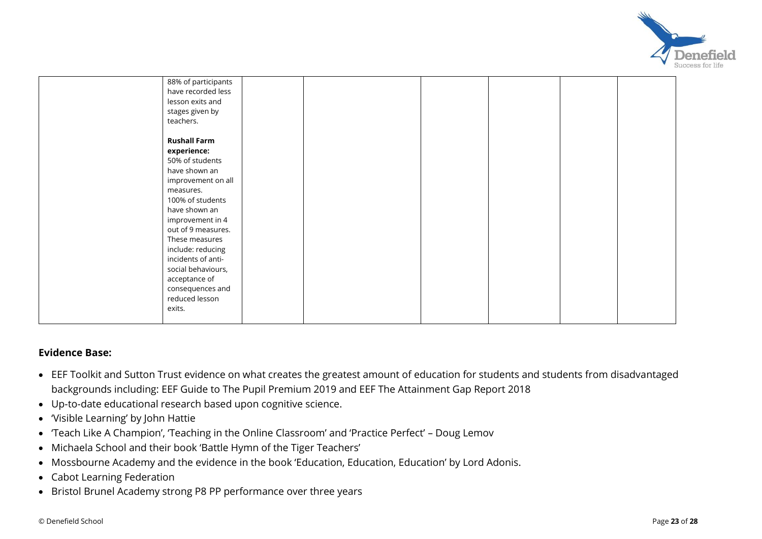

| 88% of participants |  |  |  |
|---------------------|--|--|--|
| have recorded less  |  |  |  |
| lesson exits and    |  |  |  |
| stages given by     |  |  |  |
| teachers.           |  |  |  |
|                     |  |  |  |
| <b>Rushall Farm</b> |  |  |  |
| experience:         |  |  |  |
| 50% of students     |  |  |  |
| have shown an       |  |  |  |
| improvement on all  |  |  |  |
| measures.           |  |  |  |
| 100% of students    |  |  |  |
| have shown an       |  |  |  |
| improvement in 4    |  |  |  |
| out of 9 measures.  |  |  |  |
| These measures      |  |  |  |
| include: reducing   |  |  |  |
| incidents of anti-  |  |  |  |
| social behaviours,  |  |  |  |
|                     |  |  |  |
| acceptance of       |  |  |  |
| consequences and    |  |  |  |
| reduced lesson      |  |  |  |
| exits.              |  |  |  |
|                     |  |  |  |

## **Evidence Base:**

- EEF Toolkit and Sutton Trust evidence on what creates the greatest amount of education for students and students from disadvantaged backgrounds including: EEF Guide to The Pupil Premium 2019 and EEF The Attainment Gap Report 2018
- Up-to-date educational research based upon cognitive science.
- 'Visible Learning' by John Hattie
- 'Teach Like A Champion', 'Teaching in the Online Classroom' and 'Practice Perfect' Doug Lemov
- Michaela School and their book 'Battle Hymn of the Tiger Teachers'
- Mossbourne Academy and the evidence in the book 'Education, Education, Education' by Lord Adonis.
- Cabot Learning Federation
- Bristol Brunel Academy strong P8 PP performance over three years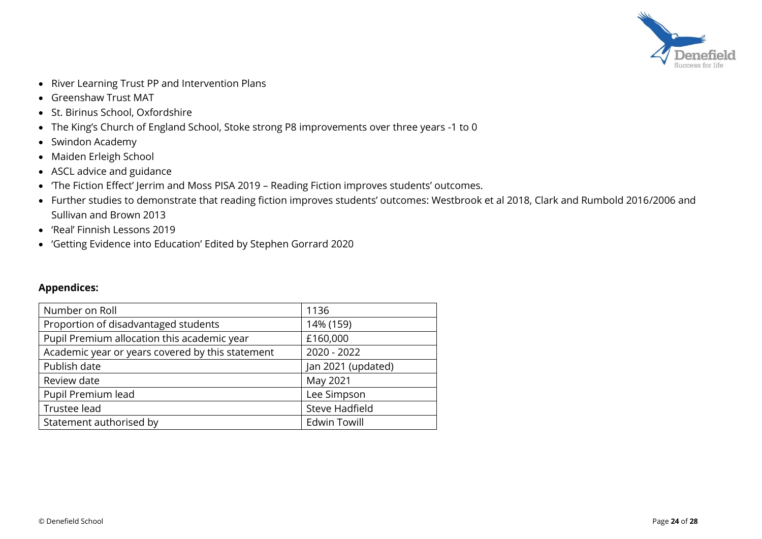

- River Learning Trust PP and Intervention Plans
- Greenshaw Trust MAT
- St. Birinus School, Oxfordshire
- The King's Church of England School, Stoke strong P8 improvements over three years -1 to 0
- Swindon Academy
- Maiden Erleigh School
- ASCL advice and guidance
- 'The Fiction Effect' Jerrim and Moss PISA 2019 Reading Fiction improves students' outcomes.
- Further studies to demonstrate that reading fiction improves students' outcomes: Westbrook et al 2018, Clark and Rumbold 2016/2006 and Sullivan and Brown 2013
- 'Real' Finnish Lessons 2019
- 'Getting Evidence into Education' Edited by Stephen Gorrard 2020

## **Appendices:**

| Number on Roll                                   | 1136                |
|--------------------------------------------------|---------------------|
| Proportion of disadvantaged students             | 14% (159)           |
| Pupil Premium allocation this academic year      | £160,000            |
| Academic year or years covered by this statement | 2020 - 2022         |
| Publish date                                     | Jan 2021 (updated)  |
| Review date                                      | May 2021            |
| Pupil Premium lead                               | Lee Simpson         |
| Trustee lead                                     | Steve Hadfield      |
| Statement authorised by                          | <b>Edwin Towill</b> |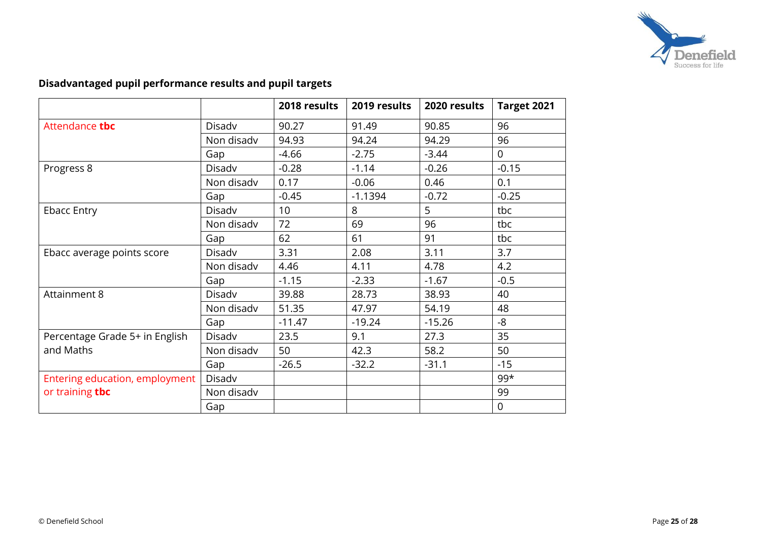

# **Disadvantaged pupil performance results and pupil targets**

|                                |            | 2018 results | 2019 results | 2020 results | Target 2021    |
|--------------------------------|------------|--------------|--------------|--------------|----------------|
| Attendance tbc                 | Disadv     | 90.27        | 91.49        | 90.85        | 96             |
|                                | Non disadv | 94.93        | 94.24        | 94.29        | 96             |
|                                | Gap        | $-4.66$      | $-2.75$      | $-3.44$      | $\overline{0}$ |
| Progress 8                     | Disadv     | $-0.28$      | $-1.14$      | $-0.26$      | $-0.15$        |
|                                | Non disadv | 0.17         | $-0.06$      | 0.46         | 0.1            |
|                                | Gap        | $-0.45$      | $-1.1394$    | $-0.72$      | $-0.25$        |
| <b>Ebacc Entry</b>             | Disadv     | 10           | 8            | 5            | tbc            |
|                                | Non disadv | 72           | 69           | 96           | tbc            |
|                                | Gap        | 62           | 61           | 91           | tbc            |
| Ebacc average points score     | Disadv     | 3.31         | 2.08         | 3.11         | 3.7            |
|                                | Non disadv | 4.46         | 4.11         | 4.78         | 4.2            |
|                                | Gap        | $-1.15$      | $-2.33$      | $-1.67$      | $-0.5$         |
| Attainment 8                   | Disadv     | 39.88        | 28.73        | 38.93        | 40             |
|                                | Non disadv | 51.35        | 47.97        | 54.19        | 48             |
|                                | Gap        | $-11.47$     | $-19.24$     | $-15.26$     | -8             |
| Percentage Grade 5+ in English | Disadv     | 23.5         | 9.1          | 27.3         | 35             |
| and Maths                      | Non disadv | 50           | 42.3         | 58.2         | 50             |
|                                | Gap        | $-26.5$      | $-32.2$      | $-31.1$      | $-15$          |
| Entering education, employment | Disadv     |              |              |              | $99*$          |
| or training tbc                | Non disadv |              |              |              | 99             |
|                                | Gap        |              |              |              | $\mathbf 0$    |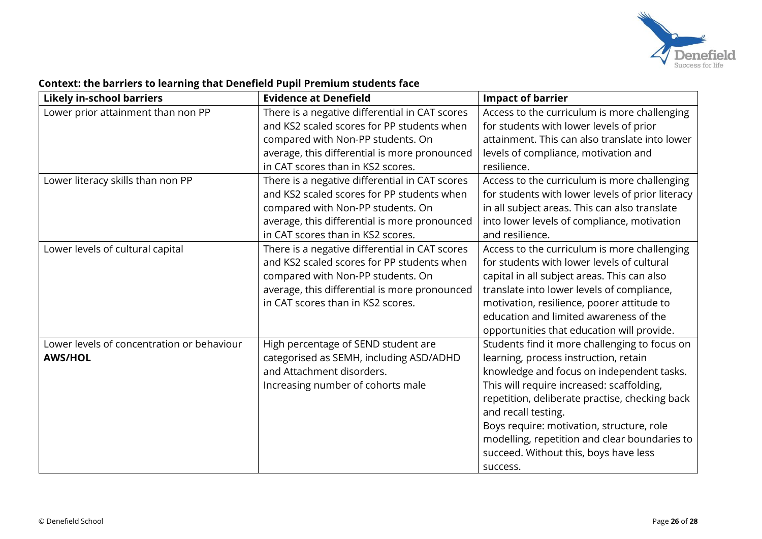

#### **Likely in-school barriers Evidence at Denefield Impact of barrier** Lower prior attainment than non PP  $\vert$  There is a negative differential in CAT scores and KS2 scaled scores for PP students when compared with Non-PP students. On average, this differential is more pronounced in CAT scores than in KS2 scores. Access to the curriculum is more challenging for students with lower levels of prior attainment. This can also translate into lower levels of compliance, motivation and resilience. Lower literacy skills than non PP  $\vert$  There is a negative differential in CAT scores and KS2 scaled scores for PP students when compared with Non-PP students. On average, this differential is more pronounced in CAT scores than in KS2 scores. Access to the curriculum is more challenging for students with lower levels of prior literacy in all subject areas. This can also translate into lower levels of compliance, motivation and resilience. Lower levels of cultural capital There is a negative differential in CAT scores and KS2 scaled scores for PP students when compared with Non-PP students. On average, this differential is more pronounced in CAT scores than in KS2 scores. Access to the curriculum is more challenging for students with lower levels of cultural capital in all subject areas. This can also translate into lower levels of compliance, motivation, resilience, poorer attitude to education and limited awareness of the opportunities that education will provide. Lower levels of concentration or behaviour **AWS/HOL** High percentage of SEND student are categorised as SEMH, including ASD/ADHD and Attachment disorders. Increasing number of cohorts male Students find it more challenging to focus on learning, process instruction, retain knowledge and focus on independent tasks. This will require increased: scaffolding, repetition, deliberate practise, checking back and recall testing. Boys require: motivation, structure, role modelling, repetition and clear boundaries to succeed. Without this, boys have less success.

### **Context: the barriers to learning that Denefield Pupil Premium students face**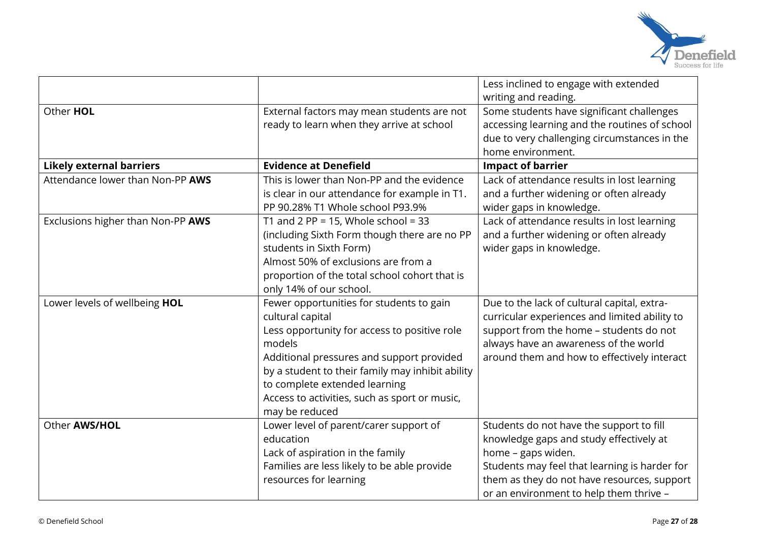

|                                   |                                                  | Less inclined to engage with extended         |
|-----------------------------------|--------------------------------------------------|-----------------------------------------------|
|                                   |                                                  | writing and reading.                          |
| Other HOL                         | External factors may mean students are not       | Some students have significant challenges     |
|                                   | ready to learn when they arrive at school        | accessing learning and the routines of school |
|                                   |                                                  | due to very challenging circumstances in the  |
|                                   |                                                  | home environment.                             |
| <b>Likely external barriers</b>   | <b>Evidence at Denefield</b>                     | <b>Impact of barrier</b>                      |
| Attendance lower than Non-PP AWS  | This is lower than Non-PP and the evidence       | Lack of attendance results in lost learning   |
|                                   | is clear in our attendance for example in T1.    | and a further widening or often already       |
|                                   | PP 90.28% T1 Whole school P93.9%                 | wider gaps in knowledge.                      |
| Exclusions higher than Non-PP AWS | T1 and 2 PP = 15, Whole school = 33              | Lack of attendance results in lost learning   |
|                                   | (including Sixth Form though there are no PP     | and a further widening or often already       |
|                                   | students in Sixth Form)                          | wider gaps in knowledge.                      |
|                                   | Almost 50% of exclusions are from a              |                                               |
|                                   | proportion of the total school cohort that is    |                                               |
|                                   | only 14% of our school.                          |                                               |
| Lower levels of wellbeing HOL     | Fewer opportunities for students to gain         | Due to the lack of cultural capital, extra-   |
|                                   | cultural capital                                 | curricular experiences and limited ability to |
|                                   | Less opportunity for access to positive role     | support from the home - students do not       |
|                                   | models                                           | always have an awareness of the world         |
|                                   | Additional pressures and support provided        | around them and how to effectively interact   |
|                                   | by a student to their family may inhibit ability |                                               |
|                                   | to complete extended learning                    |                                               |
|                                   | Access to activities, such as sport or music,    |                                               |
|                                   | may be reduced                                   |                                               |
| Other AWS/HOL                     | Lower level of parent/carer support of           | Students do not have the support to fill      |
|                                   | education                                        | knowledge gaps and study effectively at       |
|                                   | Lack of aspiration in the family                 | home - gaps widen.                            |
|                                   | Families are less likely to be able provide      | Students may feel that learning is harder for |
|                                   | resources for learning                           | them as they do not have resources, support   |
|                                   |                                                  | or an environment to help them thrive -       |